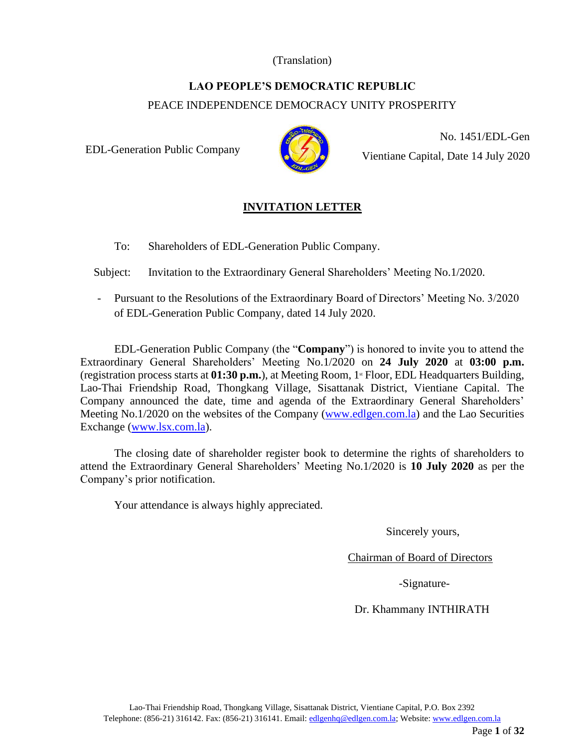#### (Translation)

# **LAO PEOPLE'S DEMOCRATIC REPUBLIC**

PEACE INDEPENDENCE DEMOCRACY UNITY PROSPERITY

EDL-Generation Public Company



No. 1451/EDL-Gen Vientiane Capital, Date 14 July 2020

# **INVITATION LETTER**

To: Shareholders of EDL-Generation Public Company.

Subject: Invitation to the Extraordinary General Shareholders' Meeting No.1/2020.

- Pursuant to the Resolutions of the Extraordinary Board of Directors' Meeting No. 3/2020 of EDL-Generation Public Company, dated 14 July 2020.

EDL-Generation Public Company (the "**Company**") is honored to invite you to attend the Extraordinary General Shareholders' Meeting No.1/2020 on **24 July 2020** at **03:00 p.m.** (registration process starts at **01:30 p.m.**), at Meeting Room, 1<sup>\*</sup> Floor, EDL Headquarters Building, Lao-Thai Friendship Road, Thongkang Village, Sisattanak District, Vientiane Capital. The Company announced the date, time and agenda of the Extraordinary General Shareholders' Meeting No.1/2020 on the websites of the Company [\(www.edlgen.com.la\)](http://www.edlgen.com.la/) and the Lao Securities Exchange [\(www.lsx.com.la\)](http://www.lsx.com.la/).

The closing date of shareholder register book to determine the rights of shareholders to attend the Extraordinary General Shareholders' Meeting No.1/2020 is **10 July 2020** as per the Company's prior notification.

Your attendance is always highly appreciated.

Sincerely yours,

Chairman of Board of Directors

-Signature-

Dr. Khammany INTHIRATH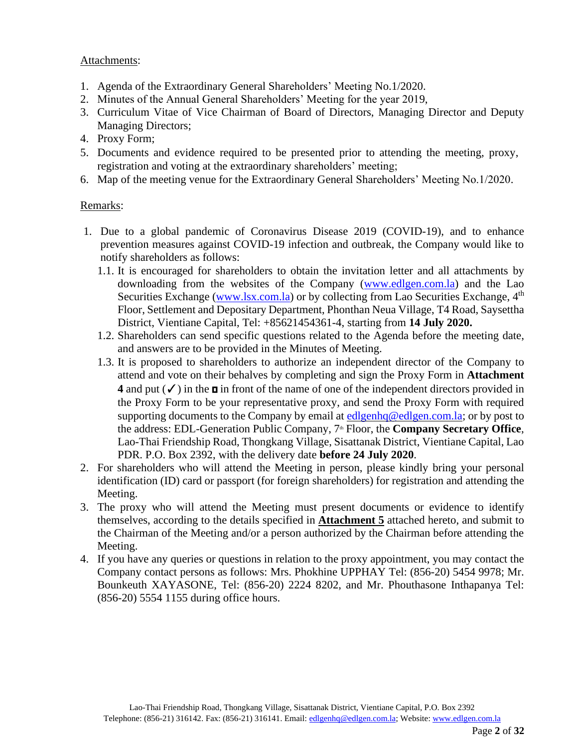#### Attachments:

- 1. Agenda of the Extraordinary General Shareholders' Meeting No.1/2020.
- 2. Minutes of the Annual General Shareholders' Meeting for the year 2019,
- 3. Curriculum Vitae of Vice Chairman of Board of Directors, Managing Director and Deputy Managing Directors;
- 4. Proxy Form;
- 5. Documents and evidence required to be presented prior to attending the meeting, proxy, registration and voting at the extraordinary shareholders' meeting;
- 6. Map of the meeting venue for the Extraordinary General Shareholders' Meeting No.1/2020.

#### Remarks:

- 1. Due to a global pandemic of Coronavirus Disease 2019 (COVID-19), and to enhance prevention measures against COVID-19 infection and outbreak, the Company would like to notify shareholders as follows:
	- 1.1. It is encouraged for shareholders to obtain the invitation letter and all attachments by downloading from the websites of the Company [\(www.edlgen.com.la\)](http://www.edlgen.com.la/) and the Lao Securities Exchange [\(www.lsx.com.la\)](http://www.lsx.com.la/) or by collecting from Lao Securities Exchange, 4<sup>th</sup> Floor, Settlement and Depositary Department, Phonthan Neua Village, T4 Road, Saysettha District, Vientiane Capital, Tel: +85621454361-4, starting from **14 July 2020.**
	- 1.2. Shareholders can send specific questions related to the Agenda before the meeting date, and answers are to be provided in the Minutes of Meeting.
	- 1.3. It is proposed to shareholders to authorize an independent director of the Company to attend and vote on their behalves by completing and sign the Proxy Form in **Attachment 4** and put  $(\checkmark)$  in the  $\text{m}$  in front of the name of one of the independent directors provided in the Proxy Form to be your representative proxy, and send the Proxy Form with required supporting documents to the Company by email at [edlgenhq@edlgen.com.la;](mailto:edlgenhq@edlgen.com.la) or by post to the address: EDL-Generation Public Company, 7<sup>th</sup> Floor, the **Company Secretary Office**, Lao-Thai Friendship Road, Thongkang Village, Sisattanak District, Vientiane Capital, Lao PDR. P.O. Box 2392, with the delivery date **before 24 July 2020**.
- 2. For shareholders who will attend the Meeting in person, please kindly bring your personal identification (ID) card or passport (for foreign shareholders) for registration and attending the Meeting.
- 3. The proxy who will attend the Meeting must present documents or evidence to identify themselves, according to the details specified in **Attachment 5** attached hereto, and submit to the Chairman of the Meeting and/or a person authorized by the Chairman before attending the Meeting.
- 4. If you have any queries or questions in relation to the proxy appointment, you may contact the Company contact persons as follows: Mrs. Phokhine UPPHAY Tel: (856-20) 5454 9978; Mr. Bounkeuth XAYASONE, Tel: (856-20) 2224 8202, and Mr. Phouthasone Inthapanya Tel: (856-20) 5554 1155 during office hours.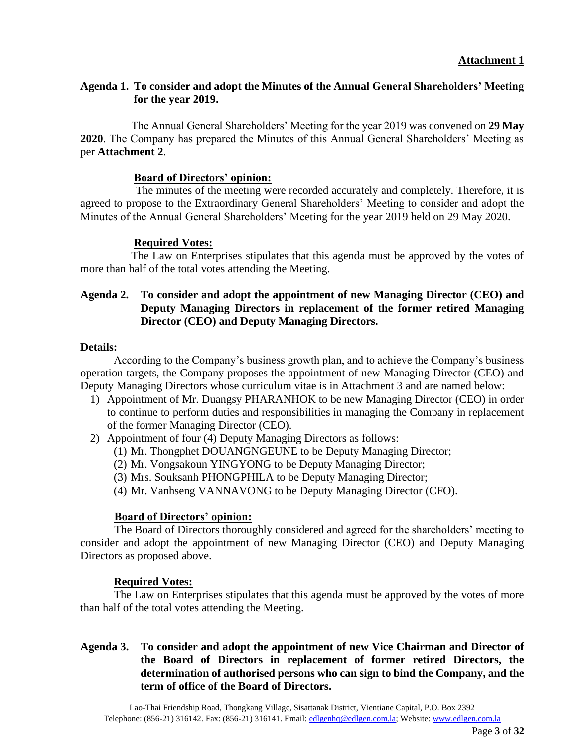#### **Agenda 1. To consider and adopt the Minutes of the Annual General Shareholders' Meeting for the year 2019.**

The Annual General Shareholders' Meeting for the year 2019 was convened on **29 May 2020**. The Company has prepared the Minutes of this Annual General Shareholders' Meeting as per **Attachment 2**.

#### **Board of Directors' opinion:**

The minutes of the meeting were recorded accurately and completely. Therefore, it is agreed to propose to the Extraordinary General Shareholders' Meeting to consider and adopt the Minutes of the Annual General Shareholders' Meeting for the year 2019 held on 29 May 2020.

#### **Required Votes:**

The Law on Enterprises stipulates that this agenda must be approved by the votes of more than half of the total votes attending the Meeting.

#### **Agenda 2. To consider and adopt the appointment of new Managing Director (CEO) and Deputy Managing Directors in replacement of the former retired Managing Director (CEO) and Deputy Managing Directors.**

#### **Details:**

According to the Company's business growth plan, and to achieve the Company's business operation targets, the Company proposes the appointment of new Managing Director (CEO) and Deputy Managing Directors whose curriculum vitae is in Attachment 3 and are named below:

- 1) Appointment of Mr. Duangsy PHARANHOK to be new Managing Director (CEO) in order to continue to perform duties and responsibilities in managing the Company in replacement of the former Managing Director (CEO).
- 2) Appointment of four (4) Deputy Managing Directors as follows:
	- (1) Mr. Thongphet DOUANGNGEUNE to be Deputy Managing Director;
	- (2) Mr. Vongsakoun YINGYONG to be Deputy Managing Director;
	- (3) Mrs. Souksanh PHONGPHILA to be Deputy Managing Director;
	- (4) Mr. Vanhseng VANNAVONG to be Deputy Managing Director (CFO).

#### **Board of Directors' opinion:**

The Board of Directors thoroughly considered and agreed for the shareholders' meeting to consider and adopt the appointment of new Managing Director (CEO) and Deputy Managing Directors as proposed above.

#### **Required Votes:**

The Law on Enterprises stipulates that this agenda must be approved by the votes of more than half of the total votes attending the Meeting.

#### **Agenda 3. To consider and adopt the appointment of new Vice Chairman and Director of the Board of Directors in replacement of former retired Directors, the determination of authorised persons who can sign to bind the Company, and the term of office of the Board of Directors.**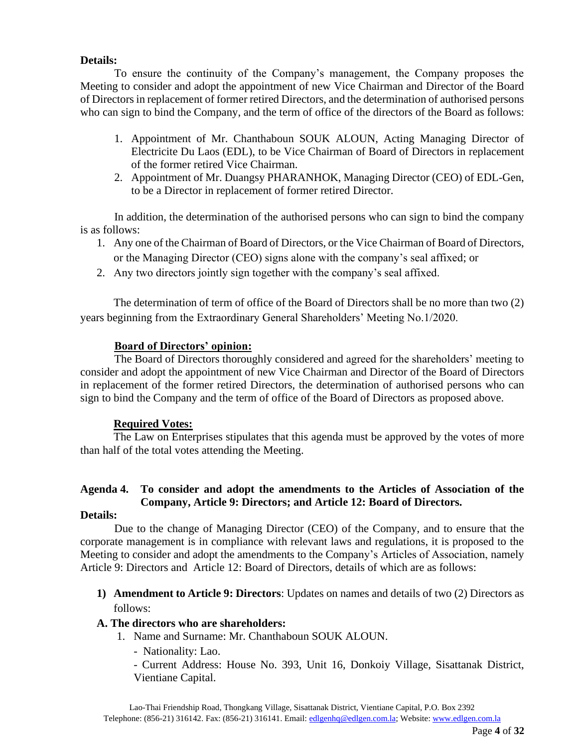#### **Details:**

To ensure the continuity of the Company's management, the Company proposes the Meeting to consider and adopt the appointment of new Vice Chairman and Director of the Board of Directors in replacement of former retired Directors, and the determination of authorised persons who can sign to bind the Company, and the term of office of the directors of the Board as follows:

- 1. Appointment of Mr. Chanthaboun SOUK ALOUN, Acting Managing Director of Electricite Du Laos (EDL), to be Vice Chairman of Board of Directors in replacement of the former retired Vice Chairman.
- 2. Appointment of Mr. Duangsy PHARANHOK, Managing Director (CEO) of EDL-Gen, to be a Director in replacement of former retired Director.

In addition, the determination of the authorised persons who can sign to bind the company is as follows:

- 1. Any one of the Chairman of Board of Directors, or the Vice Chairman of Board of Directors, or the Managing Director (CEO) signs alone with the company's seal affixed; or
- 2. Any two directors jointly sign together with the company's seal affixed.

The determination of term of office of the Board of Directors shall be no more than two (2) years beginning from the Extraordinary General Shareholders' Meeting No.1/2020.

#### **Board of Directors' opinion:**

The Board of Directors thoroughly considered and agreed for the shareholders' meeting to consider and adopt the appointment of new Vice Chairman and Director of the Board of Directors in replacement of the former retired Directors, the determination of authorised persons who can sign to bind the Company and the term of office of the Board of Directors as proposed above.

#### **Required Votes:**

The Law on Enterprises stipulates that this agenda must be approved by the votes of more than half of the total votes attending the Meeting.

# **Agenda 4. To consider and adopt the amendments to the Articles of Association of the Company, Article 9: Directors; and Article 12: Board of Directors.**

#### **Details:**

Due to the change of Managing Director (CEO) of the Company, and to ensure that the corporate management is in compliance with relevant laws and regulations, it is proposed to the Meeting to consider and adopt the amendments to the Company's Articles of Association, namely Article 9: Directors and Article 12: Board of Directors, details of which are as follows:

**1) Amendment to Article 9: Directors**: Updates on names and details of two (2) Directors as follows:

#### **A. The directors who are shareholders:**

- 1. Name and Surname: Mr. Chanthaboun SOUK ALOUN.
	- Nationality: Lao.

- Current Address: House No. 393, Unit 16, Donkoiy Village, Sisattanak District, Vientiane Capital.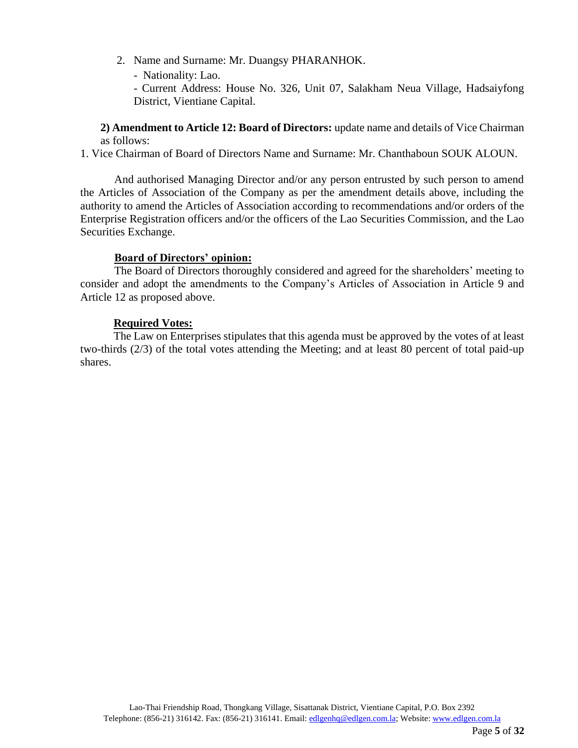- 2. Name and Surname: Mr. Duangsy PHARANHOK.
	- Nationality: Lao.

- Current Address: House No. 326, Unit 07, Salakham Neua Village, Hadsaiyfong District, Vientiane Capital.

**2) Amendment to Article 12: Board of Directors:** update name and details of Vice Chairman as follows:

1. Vice Chairman of Board of Directors Name and Surname: Mr. Chanthaboun SOUK ALOUN.

And authorised Managing Director and/or any person entrusted by such person to amend the Articles of Association of the Company as per the amendment details above, including the authority to amend the Articles of Association according to recommendations and/or orders of the Enterprise Registration officers and/or the officers of the Lao Securities Commission, and the Lao Securities Exchange.

#### **Board of Directors' opinion:**

The Board of Directors thoroughly considered and agreed for the shareholders' meeting to consider and adopt the amendments to the Company's Articles of Association in Article 9 and Article 12 as proposed above.

#### **Required Votes:**

The Law on Enterprises stipulates that this agenda must be approved by the votes of at least two-thirds (2/3) of the total votes attending the Meeting; and at least 80 percent of total paid-up shares.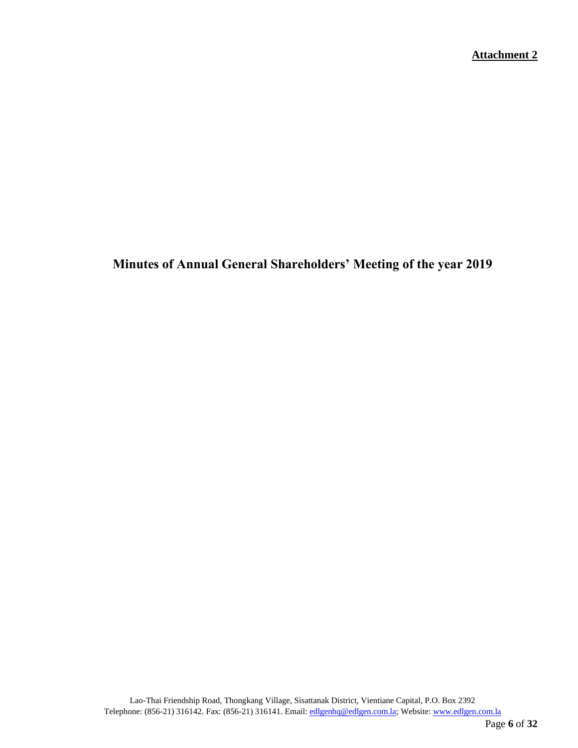**Minutes of Annual General Shareholders' Meeting of the year 2019**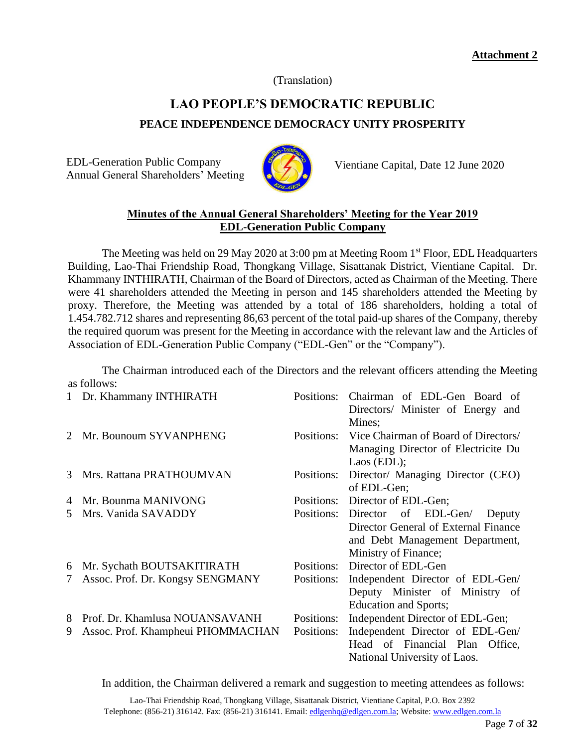(Translation)

# **LAO PEOPLE'S DEMOCRATIC REPUBLIC PEACE INDEPENDENCE DEMOCRACY UNITY PROSPERITY**

EDL-Generation Public Company Annual General Shareholders' Meeting



Vientiane Capital, Date 12 June 2020

# **Minutes of the Annual General Shareholders' Meeting for the Year 2019 EDL-Generation Public Company**

The Meeting was held on 29 May 2020 at 3:00 pm at Meeting Room 1<sup>st</sup> Floor, EDL Headquarters Building, Lao-Thai Friendship Road, Thongkang Village, Sisattanak District, Vientiane Capital. Dr. Khammany INTHIRATH, Chairman of the Board of Directors, acted as Chairman of the Meeting. There were 41 shareholders attended the Meeting in person and 145 shareholders attended the Meeting by proxy. Therefore, the Meeting was attended by a total of 186 shareholders, holding a total of 1.454.782.712 shares and representing 86,63 percent of the total paid-up shares of the Company, thereby the required quorum was present for the Meeting in accordance with the relevant law and the Articles of Association of EDL-Generation Public Company ("EDL-Gen" or the "Company").

The Chairman introduced each of the Directors and the relevant officers attending the Meeting as follows:

| $\mathbf{1}$ | Dr. Khammany INTHIRATH            | Positions: | Chairman of EDL-Gen Board of<br>Directors/ Minister of Energy and |
|--------------|-----------------------------------|------------|-------------------------------------------------------------------|
|              |                                   |            | Mines;                                                            |
|              | Mr. Bounoum SYVANPHENG            | Positions: | Vice Chairman of Board of Directors/                              |
|              |                                   |            | Managing Director of Electricite Du                               |
|              |                                   |            | Laos $(EDL);$                                                     |
| 3            | Mrs. Rattana PRATHOUMVAN          | Positions: | Director/ Managing Director (CEO)                                 |
|              |                                   |            | of EDL-Gen;                                                       |
| 4            | Mr. Bounma MANIVONG               | Positions: | Director of EDL-Gen;                                              |
| 5.           | Mrs. Vanida SAVADDY               | Positions: | Director of EDL-Gen/<br>Deputy                                    |
|              |                                   |            | Director General of External Finance                              |
|              |                                   |            | and Debt Management Department,                                   |
|              |                                   |            | Ministry of Finance;                                              |
| 6            | Mr. Sychath BOUTSAKITIRATH        | Positions: | Director of EDL-Gen                                               |
| 7            | Assoc. Prof. Dr. Kongsy SENGMANY  | Positions: | Independent Director of EDL-Gen/                                  |
|              |                                   |            | Deputy Minister of Ministry of                                    |
|              |                                   |            | Education and Sports;                                             |
| 8            | Prof. Dr. Khamlusa NOUANSAVANH    | Positions: | Independent Director of EDL-Gen;                                  |
| 9            | Assoc. Prof. Khampheui PHOMMACHAN | Positions: | Independent Director of EDL-Gen/                                  |
|              |                                   |            | Head of Financial Plan<br>Office,                                 |
|              |                                   |            | National University of Laos.                                      |

In addition, the Chairman delivered a remark and suggestion to meeting attendees as follows: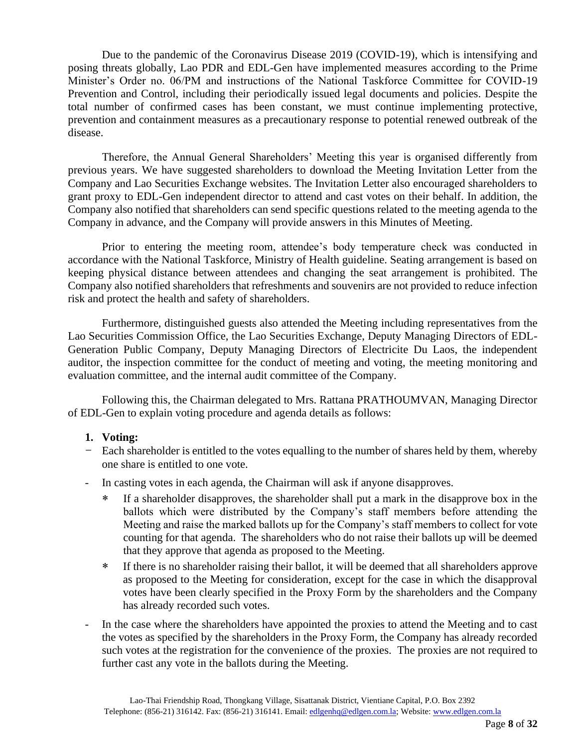Due to the pandemic of the Coronavirus Disease 2019 (COVID-19), which is intensifying and posing threats globally, Lao PDR and EDL-Gen have implemented measures according to the Prime Minister's Order no. 06/PM and instructions of the National Taskforce Committee for COVID-19 Prevention and Control, including their periodically issued legal documents and policies. Despite the total number of confirmed cases has been constant, we must continue implementing protective, prevention and containment measures as a precautionary response to potential renewed outbreak of the disease.

Therefore, the Annual General Shareholders' Meeting this year is organised differently from previous years. We have suggested shareholders to download the Meeting Invitation Letter from the Company and Lao Securities Exchange websites. The Invitation Letter also encouraged shareholders to grant proxy to EDL-Gen independent director to attend and cast votes on their behalf. In addition, the Company also notified that shareholders can send specific questions related to the meeting agenda to the Company in advance, and the Company will provide answers in this Minutes of Meeting.

Prior to entering the meeting room, attendee's body temperature check was conducted in accordance with the National Taskforce, Ministry of Health guideline. Seating arrangement is based on keeping physical distance between attendees and changing the seat arrangement is prohibited. The Company also notified shareholders that refreshments and souvenirs are not provided to reduce infection risk and protect the health and safety of shareholders.

Furthermore, distinguished guests also attended the Meeting including representatives from the Lao Securities Commission Office, the Lao Securities Exchange, Deputy Managing Directors of EDL-Generation Public Company, Deputy Managing Directors of Electricite Du Laos, the independent auditor, the inspection committee for the conduct of meeting and voting, the meeting monitoring and evaluation committee, and the internal audit committee of the Company.

Following this, the Chairman delegated to Mrs. Rattana PRATHOUMVAN, Managing Director of EDL-Gen to explain voting procedure and agenda details as follows:

#### **1. Voting:**

- Each shareholder is entitled to the votes equalling to the number of shares held by them, whereby one share is entitled to one vote.
- In casting votes in each agenda, the Chairman will ask if anyone disapproves.
	- If a shareholder disapproves, the shareholder shall put a mark in the disapprove box in the ballots which were distributed by the Company's staff members before attending the Meeting and raise the marked ballots up for the Company's staff members to collect for vote counting for that agenda. The shareholders who do not raise their ballots up will be deemed that they approve that agenda as proposed to the Meeting.
	- If there is no shareholder raising their ballot, it will be deemed that all shareholders approve as proposed to the Meeting for consideration, except for the case in which the disapproval votes have been clearly specified in the Proxy Form by the shareholders and the Company has already recorded such votes.
- In the case where the shareholders have appointed the proxies to attend the Meeting and to cast the votes as specified by the shareholders in the Proxy Form, the Company has already recorded such votes at the registration for the convenience of the proxies. The proxies are not required to further cast any vote in the ballots during the Meeting.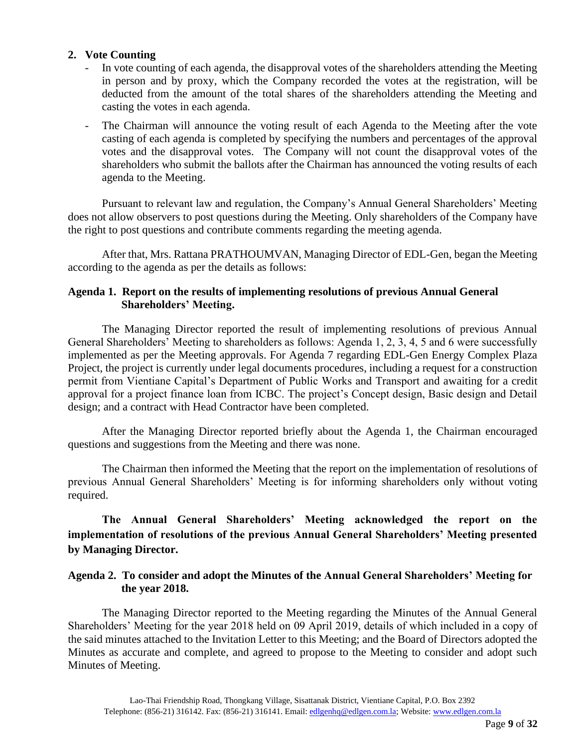#### **2. Vote Counting**

- In vote counting of each agenda, the disapproval votes of the shareholders attending the Meeting in person and by proxy, which the Company recorded the votes at the registration, will be deducted from the amount of the total shares of the shareholders attending the Meeting and casting the votes in each agenda.
- The Chairman will announce the voting result of each Agenda to the Meeting after the vote casting of each agenda is completed by specifying the numbers and percentages of the approval votes and the disapproval votes. The Company will not count the disapproval votes of the shareholders who submit the ballots after the Chairman has announced the voting results of each agenda to the Meeting.

Pursuant to relevant law and regulation, the Company's Annual General Shareholders' Meeting does not allow observers to post questions during the Meeting. Only shareholders of the Company have the right to post questions and contribute comments regarding the meeting agenda.

After that, Mrs. Rattana PRATHOUMVAN, Managing Director of EDL-Gen, began the Meeting according to the agenda as per the details as follows:

#### **Agenda 1. Report on the results of implementing resolutions of previous Annual General Shareholders' Meeting.**

The Managing Director reported the result of implementing resolutions of previous Annual General Shareholders' Meeting to shareholders as follows: Agenda 1, 2, 3, 4, 5 and 6 were successfully implemented as per the Meeting approvals. For Agenda 7 regarding EDL-Gen Energy Complex Plaza Project, the project is currently under legal documents procedures, including a request for a construction permit from Vientiane Capital's Department of Public Works and Transport and awaiting for a credit approval for a project finance loan from ICBC. The project's Concept design, Basic design and Detail design; and a contract with Head Contractor have been completed.

After the Managing Director reported briefly about the Agenda 1, the Chairman encouraged questions and suggestions from the Meeting and there was none.

The Chairman then informed the Meeting that the report on the implementation of resolutions of previous Annual General Shareholders' Meeting is for informing shareholders only without voting required.

**The Annual General Shareholders' Meeting acknowledged the report on the implementation of resolutions of the previous Annual General Shareholders' Meeting presented by Managing Director.** 

#### **Agenda 2. To consider and adopt the Minutes of the Annual General Shareholders' Meeting for the year 2018.**

The Managing Director reported to the Meeting regarding the Minutes of the Annual General Shareholders' Meeting for the year 2018 held on 09 April 2019, details of which included in a copy of the said minutes attached to the Invitation Letter to this Meeting; and the Board of Directors adopted the Minutes as accurate and complete, and agreed to propose to the Meeting to consider and adopt such Minutes of Meeting.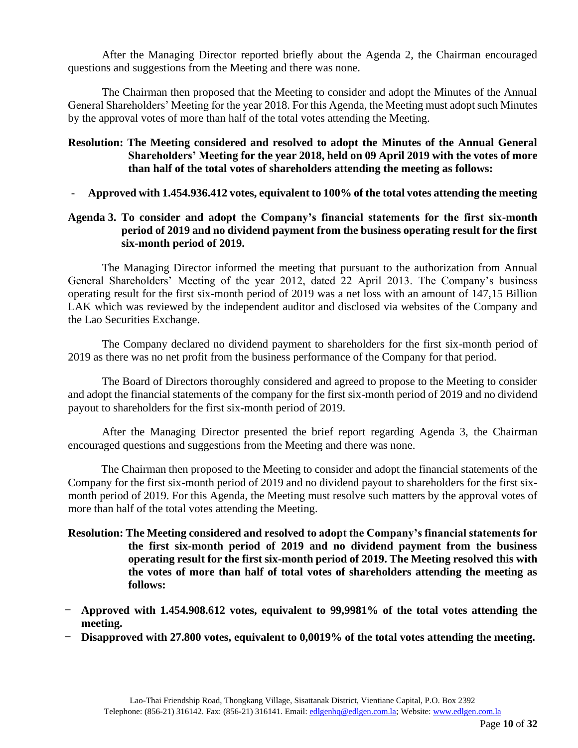After the Managing Director reported briefly about the Agenda 2, the Chairman encouraged questions and suggestions from the Meeting and there was none.

The Chairman then proposed that the Meeting to consider and adopt the Minutes of the Annual General Shareholders' Meeting for the year 2018. For this Agenda, the Meeting must adopt such Minutes by the approval votes of more than half of the total votes attending the Meeting.

#### **Resolution: The Meeting considered and resolved to adopt the Minutes of the Annual General Shareholders' Meeting for the year 2018, held on 09 April 2019 with the votes of more than half of the total votes of shareholders attending the meeting as follows:**

- **Approved with 1.454.936.412 votes, equivalent to 100% of the total votes attending the meeting**

#### **Agenda 3. To consider and adopt the Company's financial statements for the first six-month period of 2019 and no dividend payment from the business operating result for the first six-month period of 2019.**

The Managing Director informed the meeting that pursuant to the authorization from Annual General Shareholders' Meeting of the year 2012, dated 22 April 2013. The Company's business operating result for the first six-month period of 2019 was a net loss with an amount of 147,15 Billion LAK which was reviewed by the independent auditor and disclosed via websites of the Company and the Lao Securities Exchange.

The Company declared no dividend payment to shareholders for the first six-month period of 2019 as there was no net profit from the business performance of the Company for that period.

The Board of Directors thoroughly considered and agreed to propose to the Meeting to consider and adopt the financial statements of the company for the first six-month period of 2019 and no dividend payout to shareholders for the first six-month period of 2019.

After the Managing Director presented the brief report regarding Agenda 3, the Chairman encouraged questions and suggestions from the Meeting and there was none.

The Chairman then proposed to the Meeting to consider and adopt the financial statements of the Company for the first six-month period of 2019 and no dividend payout to shareholders for the first sixmonth period of 2019. For this Agenda, the Meeting must resolve such matters by the approval votes of more than half of the total votes attending the Meeting.

- **Resolution: The Meeting considered and resolved to adopt the Company's financial statements for the first six-month period of 2019 and no dividend payment from the business operating result for the first six-month period of 2019. The Meeting resolved this with the votes of more than half of total votes of shareholders attending the meeting as follows:**
- **Approved with 1.454.908.612 votes, equivalent to 99,9981% of the total votes attending the meeting.**
- **Disapproved with 27.800 votes, equivalent to 0,0019% of the total votes attending the meeting.**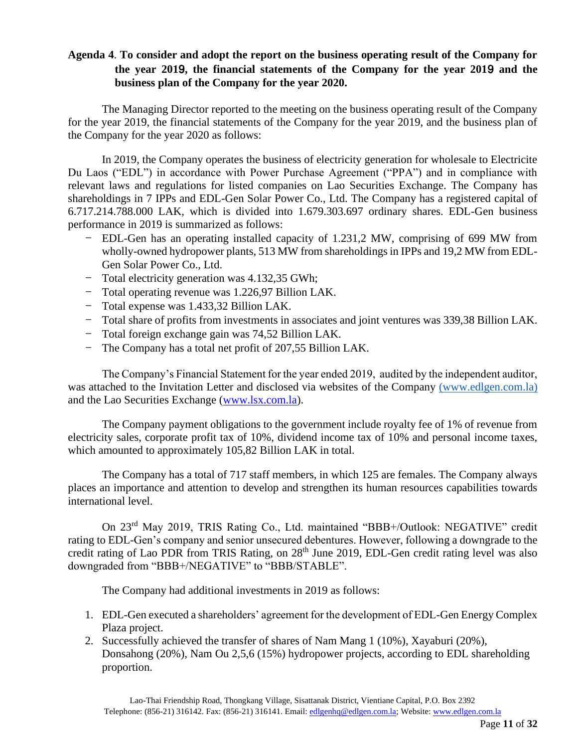# **Agenda 4**. **To consider and adopt the report on the business operating result of the Company for the year 201**9**, the financial statements of the Company for the year 201**9 **and the business plan of the Company for the year 2020.**

The Managing Director reported to the meeting on the business operating result of the Company for the year 2019, the financial statements of the Company for the year 2019, and the business plan of the Company for the year 2020 as follows:

In 2019, the Company operates the business of electricity generation for wholesale to Electricite Du Laos ("EDL") in accordance with Power Purchase Agreement ("PPA") and in compliance with relevant laws and regulations for listed companies on Lao Securities Exchange. The Company has shareholdings in 7 IPPs and EDL-Gen Solar Power Co., Ltd. The Company has a registered capital of 6.717.214.788.000 LAK, which is divided into 1.679.303.697 ordinary shares. EDL-Gen business performance in 2019 is summarized as follows:

- EDL-Gen has an operating installed capacity of 1.231,2 MW, comprising of 699 MW from wholly-owned hydropower plants, 513 MW from shareholdings in IPPs and 19,2 MW from EDL-Gen Solar Power Co., Ltd.
- Total electricity generation was 4.132,35 GWh;
- Total operating revenue was 1.226,97 Billion LAK.
- Total expense was 1.433,32 Billion LAK.
- Total share of profits from investments in associates and joint ventures was 339,38 Billion LAK.
- Total foreign exchange gain was 74,52 Billion LAK.
- The Company has a total net profit of 207,55 Billion LAK.

The Company's Financial Statement for the year ended 2019, audited by the independent auditor, was attached to the Invitation Letter and disclosed via websites of the Company (www.edlgen.com.la) and the Lao Securities Exchange [\(www.lsx.com.la\)](http://www.lsx.com.la/).

The Company payment obligations to the government include royalty fee of 1% of revenue from electricity sales, corporate profit tax of 10%, dividend income tax of 10% and personal income taxes, which amounted to approximately 105,82 Billion LAK in total.

The Company has a total of 717 staff members, in which 125 are females. The Company always places an importance and attention to develop and strengthen its human resources capabilities towards international level.

On 23rd May 2019, TRIS Rating Co., Ltd. maintained "BBB+/Outlook: NEGATIVE" credit rating to EDL-Gen's company and senior unsecured debentures. However, following a downgrade to the credit rating of Lao PDR from TRIS Rating, on 28<sup>th</sup> June 2019, EDL-Gen credit rating level was also downgraded from "BBB+/NEGATIVE" to "BBB/STABLE".

The Company had additional investments in 2019 as follows:

- 1. EDL-Gen executed a shareholders' agreement for the development of EDL-Gen Energy Complex Plaza project.
- 2. Successfully achieved the transfer of shares of Nam Mang 1 (10%), Xayaburi (20%), Donsahong (20%), Nam Ou 2,5,6 (15%) hydropower projects, according to EDL shareholding proportion.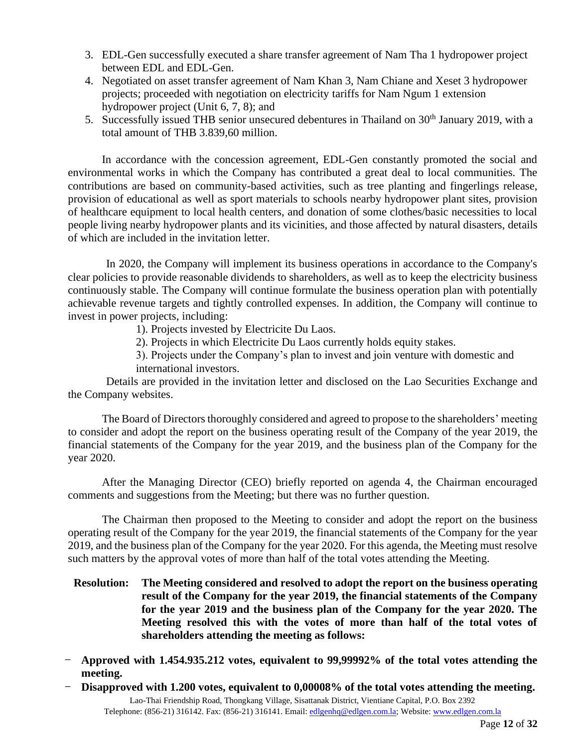- 3. EDL-Gen successfully executed a share transfer agreement of Nam Tha 1 hydropower project between EDL and EDL-Gen.
- 4. Negotiated on asset transfer agreement of Nam Khan 3, Nam Chiane and Xeset 3 hydropower projects; proceeded with negotiation on electricity tariffs for Nam Ngum 1 extension hydropower project (Unit 6, 7, 8); and
- 5. Successfully issued THB senior unsecured debentures in Thailand on 30<sup>th</sup> January 2019, with a total amount of THB 3.839,60 million.

In accordance with the concession agreement, EDL-Gen constantly promoted the social and environmental works in which the Company has contributed a great deal to local communities. The contributions are based on community-based activities, such as tree planting and fingerlings release, provision of educational as well as sport materials to schools nearby hydropower plant sites, provision of healthcare equipment to local health centers, and donation of some clothes/basic necessities to local people living nearby hydropower plants and its vicinities, and those affected by natural disasters, details of which are included in the invitation letter.

In 2020, the Company will implement its business operations in accordance to the Company's clear policies to provide reasonable dividends to shareholders, as well as to keep the electricity business continuously stable. The Company will continue formulate the business operation plan with potentially achievable revenue targets and tightly controlled expenses. In addition, the Company will continue to invest in power projects, including:

1). Projects invested by Electricite Du Laos.

2). Projects in which Electricite Du Laos currently holds equity stakes.

3). Projects under the Company's plan to invest and join venture with domestic and international investors.

Details are provided in the invitation letter and disclosed on the Lao Securities Exchange and the Company websites.

The Board of Directors thoroughly considered and agreed to propose to the shareholders' meeting to consider and adopt the report on the business operating result of the Company of the year 2019, the financial statements of the Company for the year 2019, and the business plan of the Company for the year 2020.

After the Managing Director (CEO) briefly reported on agenda 4, the Chairman encouraged comments and suggestions from the Meeting; but there was no further question.

The Chairman then proposed to the Meeting to consider and adopt the report on the business operating result of the Company for the year 2019, the financial statements of the Company for the year 2019, and the business plan of the Company for the year 2020. For this agenda, the Meeting must resolve such matters by the approval votes of more than half of the total votes attending the Meeting.

- **Resolution: The Meeting considered and resolved to adopt the report on the business operating result of the Company for the year 2019, the financial statements of the Company for the year 2019 and the business plan of the Company for the year 2020. The Meeting resolved this with the votes of more than half of the total votes of shareholders attending the meeting as follows:**
- **Approved with 1.454.935.212 votes, equivalent to 99,99992% of the total votes attending the meeting.**
- **Disapproved with 1.200 votes, equivalent to 0,00008% of the total votes attending the meeting.**

Lao-Thai Friendship Road, Thongkang Village, Sisattanak District, Vientiane Capital, P.O. Box 2392 Telephone: (856-21) 316142. Fax: (856-21) 316141. Email: [edlgenhq@edlgen.com.la;](mailto:edlgenhq@edlgen.com.la) Website: [www.edlgen.com.la](http://www.edlgen.com.la/)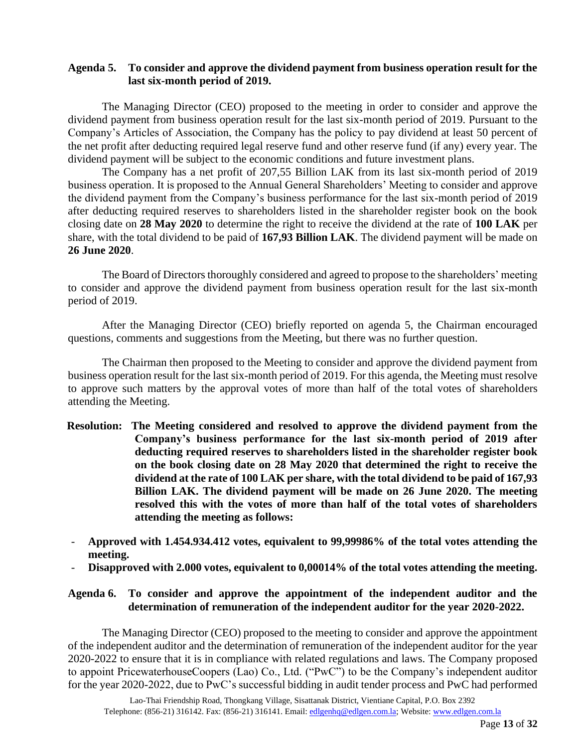#### **Agenda 5. To consider and approve the dividend payment from business operation result for the last six-month period of 2019.**

The Managing Director (CEO) proposed to the meeting in order to consider and approve the dividend payment from business operation result for the last six-month period of 2019. Pursuant to the Company's Articles of Association, the Company has the policy to pay dividend at least 50 percent of the net profit after deducting required legal reserve fund and other reserve fund (if any) every year. The dividend payment will be subject to the economic conditions and future investment plans.

The Company has a net profit of 207,55 Billion LAK from its last six-month period of 2019 business operation. It is proposed to the Annual General Shareholders' Meeting to consider and approve the dividend payment from the Company's business performance for the last six-month period of 2019 after deducting required reserves to shareholders listed in the shareholder register book on the book closing date on **28 May 2020** to determine the right to receive the dividend at the rate of **100 LAK** per share, with the total dividend to be paid of **167,93 Billion LAK**. The dividend payment will be made on **26 June 2020**.

The Board of Directors thoroughly considered and agreed to propose to the shareholders' meeting to consider and approve the dividend payment from business operation result for the last six-month period of 2019.

After the Managing Director (CEO) briefly reported on agenda 5, the Chairman encouraged questions, comments and suggestions from the Meeting, but there was no further question.

The Chairman then proposed to the Meeting to consider and approve the dividend payment from business operation result for the last six-month period of 2019. For this agenda, the Meeting must resolve to approve such matters by the approval votes of more than half of the total votes of shareholders attending the Meeting.

- **Resolution: The Meeting considered and resolved to approve the dividend payment from the Company's business performance for the last six-month period of 2019 after deducting required reserves to shareholders listed in the shareholder register book on the book closing date on 28 May 2020 that determined the right to receive the dividend at the rate of 100 LAK per share, with the total dividend to be paid of 167,93 Billion LAK. The dividend payment will be made on 26 June 2020. The meeting resolved this with the votes of more than half of the total votes of shareholders attending the meeting as follows:**
- **Approved with 1.454.934.412 votes, equivalent to 99,99986% of the total votes attending the meeting.**
- **Disapproved with 2.000 votes, equivalent to 0,00014% of the total votes attending the meeting.**

#### **Agenda 6. To consider and approve the appointment of the independent auditor and the determination of remuneration of the independent auditor for the year 2020-2022.**

The Managing Director (CEO) proposed to the meeting to consider and approve the appointment of the independent auditor and the determination of remuneration of the independent auditor for the year 2020-2022 to ensure that it is in compliance with related regulations and laws. The Company proposed to appoint PricewaterhouseCoopers (Lao) Co., Ltd. ("PwC") to be the Company's independent auditor for the year 2020-2022, due to PwC's successful bidding in audit tender process and PwC had performed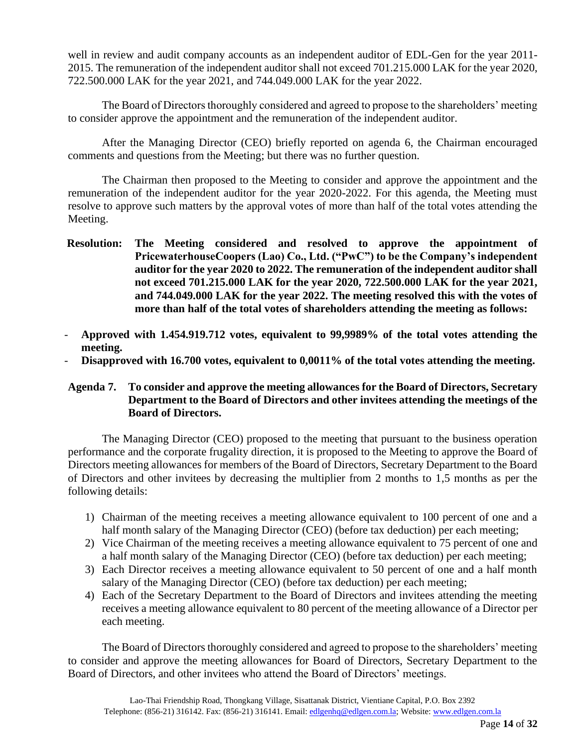well in review and audit company accounts as an independent auditor of EDL-Gen for the year 2011- 2015. The remuneration of the independent auditor shall not exceed 701.215.000 LAK for the year 2020, 722.500.000 LAK for the year 2021, and 744.049.000 LAK for the year 2022.

The Board of Directors thoroughly considered and agreed to propose to the shareholders' meeting to consider approve the appointment and the remuneration of the independent auditor.

After the Managing Director (CEO) briefly reported on agenda 6, the Chairman encouraged comments and questions from the Meeting; but there was no further question.

The Chairman then proposed to the Meeting to consider and approve the appointment and the remuneration of the independent auditor for the year 2020-2022. For this agenda, the Meeting must resolve to approve such matters by the approval votes of more than half of the total votes attending the Meeting.

- **Resolution: The Meeting considered and resolved to approve the appointment of PricewaterhouseCoopers (Lao) Co., Ltd. ("PwC") to be the Company's independent auditor for the year 2020 to 2022. The remuneration of the independent auditor shall not exceed 701.215.000 LAK for the year 2020, 722.500.000 LAK for the year 2021, and 744.049.000 LAK for the year 2022. The meeting resolved this with the votes of more than half of the total votes of shareholders attending the meeting as follows:**
- **Approved with 1.454.919.712 votes, equivalent to 99,9989% of the total votes attending the meeting.**
- **Disapproved with 16.700 votes, equivalent to 0,0011% of the total votes attending the meeting.**

#### **Agenda 7. To consider and approve the meeting allowances for the Board of Directors, Secretary Department to the Board of Directors and other invitees attending the meetings of the Board of Directors.**

The Managing Director (CEO) proposed to the meeting that pursuant to the business operation performance and the corporate frugality direction, it is proposed to the Meeting to approve the Board of Directors meeting allowances for members of the Board of Directors, Secretary Department to the Board of Directors and other invitees by decreasing the multiplier from 2 months to 1,5 months as per the following details:

- 1) Chairman of the meeting receives a meeting allowance equivalent to 100 percent of one and a half month salary of the Managing Director (CEO) (before tax deduction) per each meeting;
- 2) Vice Chairman of the meeting receives a meeting allowance equivalent to 75 percent of one and a half month salary of the Managing Director (CEO) (before tax deduction) per each meeting;
- 3) Each Director receives a meeting allowance equivalent to 50 percent of one and a half month salary of the Managing Director (CEO) (before tax deduction) per each meeting;
- 4) Each of the Secretary Department to the Board of Directors and invitees attending the meeting receives a meeting allowance equivalent to 80 percent of the meeting allowance of a Director per each meeting.

The Board of Directors thoroughly considered and agreed to propose to the shareholders' meeting to consider and approve the meeting allowances for Board of Directors, Secretary Department to the Board of Directors, and other invitees who attend the Board of Directors' meetings.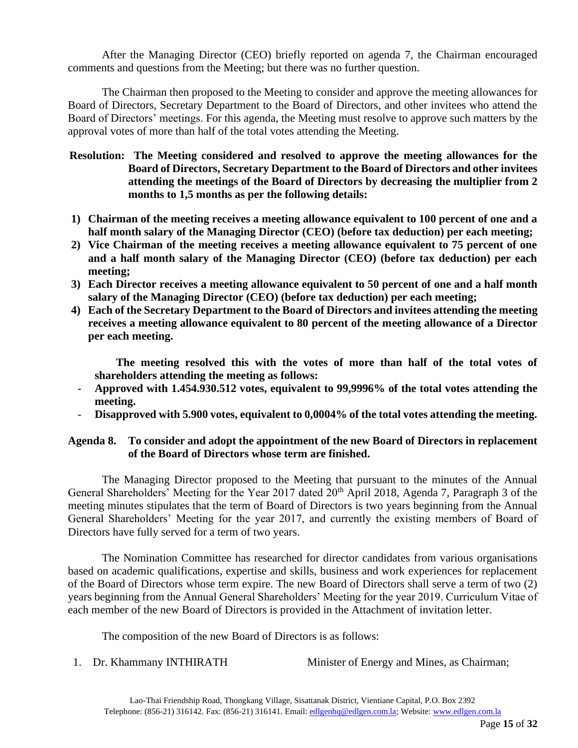After the Managing Director (CEO) briefly reported on agenda 7, the Chairman encouraged comments and questions from the Meeting; but there was no further question.

The Chairman then proposed to the Meeting to consider and approve the meeting allowances for Board of Directors, Secretary Department to the Board of Directors, and other invitees who attend the Board of Directors' meetings. For this agenda, the Meeting must resolve to approve such matters by the approval votes of more than half of the total votes attending the Meeting.

#### **Resolution: The Meeting considered and resolved to approve the meeting allowances for the Board of Directors, Secretary Department to the Board of Directors and other invitees attending the meetings of the Board of Directors by decreasing the multiplier from 2 months to 1,5 months as per the following details:**

- **1) Chairman of the meeting receives a meeting allowance equivalent to 100 percent of one and a half month salary of the Managing Director (CEO) (before tax deduction) per each meeting;**
- **2) Vice Chairman of the meeting receives a meeting allowance equivalent to 75 percent of one and a half month salary of the Managing Director (CEO) (before tax deduction) per each meeting;**
- **3) Each Director receives a meeting allowance equivalent to 50 percent of one and a half month salary of the Managing Director (CEO) (before tax deduction) per each meeting;**
- **4) Each of the Secretary Department to the Board of Directors and invitees attending the meeting receives a meeting allowance equivalent to 80 percent of the meeting allowance of a Director per each meeting.**

**The meeting resolved this with the votes of more than half of the total votes of shareholders attending the meeting as follows:**

- **Approved with 1.454.930.512 votes, equivalent to 99,9996% of the total votes attending the meeting.**
- **Disapproved with 5.900 votes, equivalent to 0,0004% of the total votes attending the meeting.**

# **Agenda 8. To consider and adopt the appointment of the new Board of Directors in replacement of the Board of Directors whose term are finished.**

The Managing Director proposed to the Meeting that pursuant to the minutes of the Annual General Shareholders' Meeting for the Year 2017 dated 20<sup>th</sup> April 2018, Agenda 7, Paragraph 3 of the meeting minutes stipulates that the term of Board of Directors is two years beginning from the Annual General Shareholders' Meeting for the year 2017, and currently the existing members of Board of Directors have fully served for a term of two years.

The Nomination Committee has researched for director candidates from various organisations based on academic qualifications, expertise and skills, business and work experiences for replacement of the Board of Directors whose term expire. The new Board of Directors shall serve a term of two (2) years beginning from the Annual General Shareholders' Meeting for the year 2019. Curriculum Vitae of each member of the new Board of Directors is provided in the Attachment of invitation letter.

The composition of the new Board of Directors is as follows:

1. Dr. Khammany INTHIRATH Minister of Energy and Mines, as Chairman;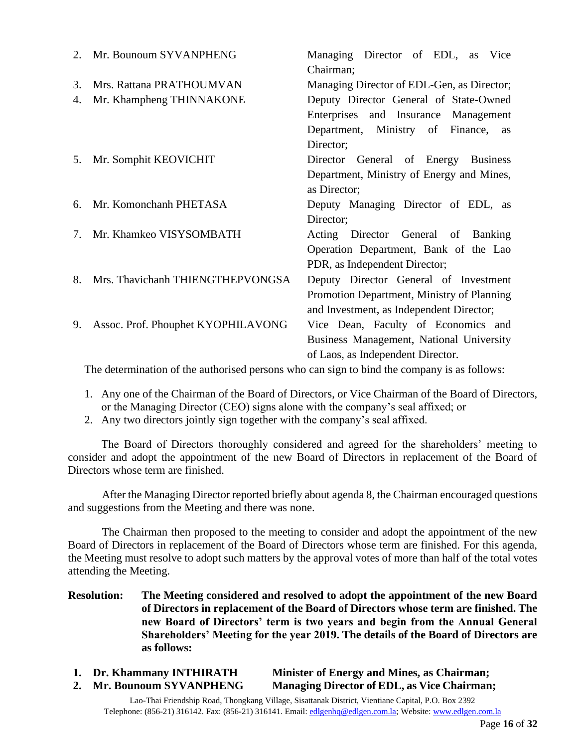| 2. | Mr. Bounoum SYVANPHENG             | Managing Director of EDL, as<br>Vice<br>Chairman; |
|----|------------------------------------|---------------------------------------------------|
| 3. | Mrs. Rattana PRATHOUMVAN           | Managing Director of EDL-Gen, as Director;        |
| 4. | Mr. Khampheng THINNAKONE           | Deputy Director General of State-Owned            |
|    |                                    | Enterprises and Insurance Management              |
|    |                                    | Department, Ministry of Finance,<br>as            |
|    |                                    | Director;                                         |
| 5. | Mr. Somphit KEOVICHIT              | Director General of Energy Business               |
|    |                                    | Department, Ministry of Energy and Mines,         |
|    |                                    | as Director;                                      |
| 6. | Mr. Komonchanh PHETASA             | Deputy Managing Director of EDL, as               |
|    |                                    | Director;                                         |
| 7. | Mr. Khamkeo VISYSOMBATH            | Acting Director General of Banking                |
|    |                                    | Operation Department, Bank of the Lao             |
|    |                                    | PDR, as Independent Director;                     |
| 8. | Mrs. Thavichanh THIENGTHEPVONGSA   | Deputy Director General of Investment             |
|    |                                    | Promotion Department, Ministry of Planning        |
|    |                                    | and Investment, as Independent Director;          |
| 9. | Assoc. Prof. Phouphet KYOPHILAVONG | Vice Dean, Faculty of Economics and               |
|    |                                    | Business Management, National University          |
|    |                                    | of Laos, as Independent Director.                 |

The determination of the authorised persons who can sign to bind the company is as follows:

- 1. Any one of the Chairman of the Board of Directors, or Vice Chairman of the Board of Directors, or the Managing Director (CEO) signs alone with the company's seal affixed; or
- 2. Any two directors jointly sign together with the company's seal affixed.

The Board of Directors thoroughly considered and agreed for the shareholders' meeting to consider and adopt the appointment of the new Board of Directors in replacement of the Board of Directors whose term are finished.

 After the Managing Director reported briefly about agenda 8, the Chairman encouraged questions and suggestions from the Meeting and there was none.

 The Chairman then proposed to the meeting to consider and adopt the appointment of the new Board of Directors in replacement of the Board of Directors whose term are finished. For this agenda, the Meeting must resolve to adopt such matters by the approval votes of more than half of the total votes attending the Meeting.

- **Resolution: The Meeting considered and resolved to adopt the appointment of the new Board of Directors in replacement of the Board of Directors whose term are finished. The new Board of Directors' term is two years and begin from the Annual General Shareholders' Meeting for the year 2019. The details of the Board of Directors are as follows:**
- **1. Dr. Khammany INTHIRATH Minister of Energy and Mines, as Chairman;**

**2. Mr. Bounoum SYVANPHENG Managing Director of EDL, as Vice Chairman;**

Lao-Thai Friendship Road, Thongkang Village, Sisattanak District, Vientiane Capital, P.O. Box 2392 Telephone: (856-21) 316142. Fax: (856-21) 316141. Email: [edlgenhq@edlgen.com.la;](mailto:edlgenhq@edlgen.com.la) Website: [www.edlgen.com.la](http://www.edlgen.com.la/)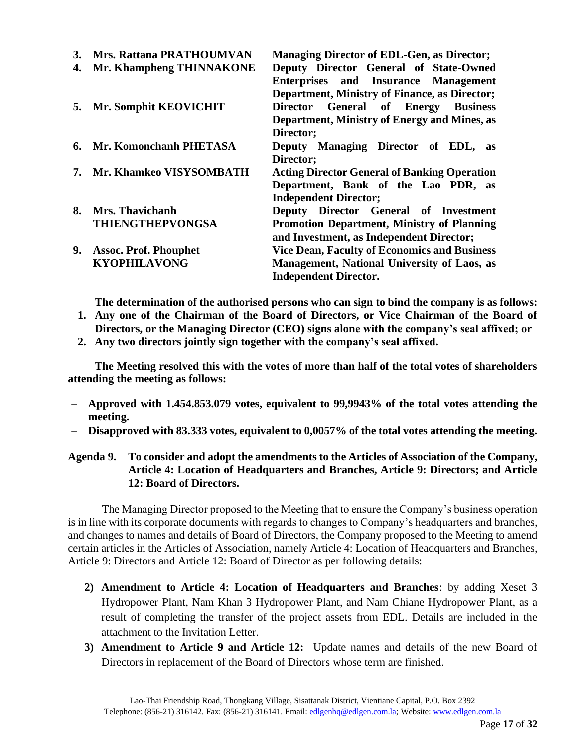| 3. | <b>Mrs. Rattana PRATHOUMVAN</b> | <b>Managing Director of EDL-Gen, as Director;</b>    |
|----|---------------------------------|------------------------------------------------------|
| 4. | Mr. Khampheng THINNAKONE        | Deputy Director General of State-Owned               |
|    |                                 | Enterprises and Insurance Management                 |
|    |                                 | <b>Department, Ministry of Finance, as Director;</b> |
| 5. | Mr. Somphit KEOVICHIT           | <b>General of Energy Business</b><br><b>Director</b> |
|    |                                 | Department, Ministry of Energy and Mines, as         |
|    |                                 | Director;                                            |
| 6. | Mr. Komonchanh PHETASA          | Deputy Managing Director of EDL,<br>as               |
|    |                                 | Director;                                            |
| 7. | Mr. Khamkeo VISYSOMBATH         | <b>Acting Director General of Banking Operation</b>  |
|    |                                 | Department, Bank of the Lao PDR, as                  |
|    |                                 | <b>Independent Director;</b>                         |
| 8. | Mrs. Thavichanh                 | Deputy Director General of Investment                |
|    | <b>THIENGTHEPVONGSA</b>         | <b>Promotion Department, Ministry of Planning</b>    |
|    |                                 | and Investment, as Independent Director;             |
| 9. | <b>Assoc. Prof. Phouphet</b>    | <b>Vice Dean, Faculty of Economics and Business</b>  |
|    | <b>KYOPHILAVONG</b>             | <b>Management, National University of Laos, as</b>   |
|    |                                 | <b>Independent Director.</b>                         |

**The determination of the authorised persons who can sign to bind the company is as follows:**

- **1. Any one of the Chairman of the Board of Directors, or Vice Chairman of the Board of Directors, or the Managing Director (CEO) signs alone with the company's seal affixed; or**
- **2. Any two directors jointly sign together with the company's seal affixed.**

**The Meeting resolved this with the votes of more than half of the total votes of shareholders attending the meeting as follows:**

- − **Approved with 1.454.853.079 votes, equivalent to 99,9943% of the total votes attending the meeting.**
- − **Disapproved with 83.333 votes, equivalent to 0,0057% of the total votes attending the meeting.**

# **Agenda 9. To consider and adopt the amendments to the Articles of Association of the Company, Article 4: Location of Headquarters and Branches, Article 9: Directors; and Article 12: Board of Directors.**

The Managing Director proposed to the Meeting that to ensure the Company's business operation is in line with its corporate documents with regards to changes to Company's headquarters and branches, and changes to names and details of Board of Directors, the Company proposed to the Meeting to amend certain articles in the Articles of Association, namely Article 4: Location of Headquarters and Branches, Article 9: Directors and Article 12: Board of Director as per following details:

- **2) Amendment to Article 4: Location of Headquarters and Branches**: by adding Xeset 3 Hydropower Plant, Nam Khan 3 Hydropower Plant, and Nam Chiane Hydropower Plant, as a result of completing the transfer of the project assets from EDL. Details are included in the attachment to the Invitation Letter.
- **3) Amendment to Article 9 and Article 12:** Update names and details of the new Board of Directors in replacement of the Board of Directors whose term are finished.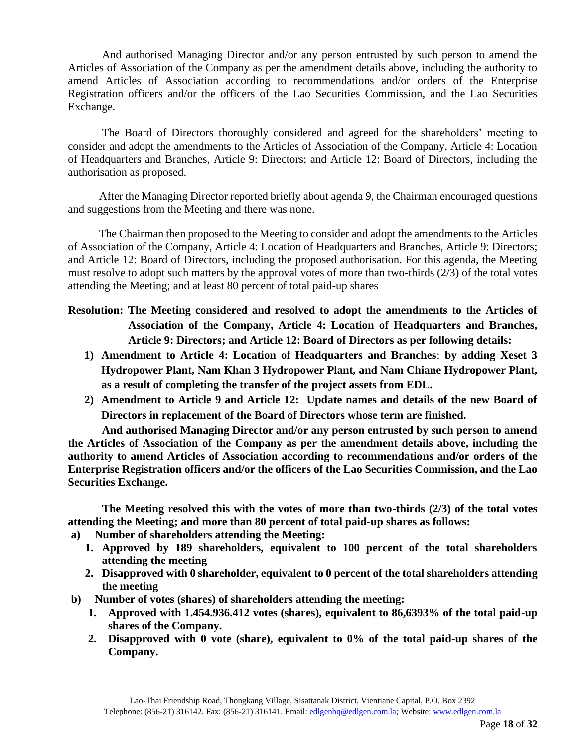And authorised Managing Director and/or any person entrusted by such person to amend the Articles of Association of the Company as per the amendment details above, including the authority to amend Articles of Association according to recommendations and/or orders of the Enterprise Registration officers and/or the officers of the Lao Securities Commission, and the Lao Securities Exchange.

The Board of Directors thoroughly considered and agreed for the shareholders' meeting to consider and adopt the amendments to the Articles of Association of the Company, Article 4: Location of Headquarters and Branches, Article 9: Directors; and Article 12: Board of Directors, including the authorisation as proposed.

 After the Managing Director reported briefly about agenda 9, the Chairman encouraged questions and suggestions from the Meeting and there was none.

 The Chairman then proposed to the Meeting to consider and adopt the amendments to the Articles of Association of the Company, Article 4: Location of Headquarters and Branches, Article 9: Directors; and Article 12: Board of Directors, including the proposed authorisation. For this agenda, the Meeting must resolve to adopt such matters by the approval votes of more than two-thirds (2/3) of the total votes attending the Meeting; and at least 80 percent of total paid-up shares

- **Resolution: The Meeting considered and resolved to adopt the amendments to the Articles of Association of the Company, Article 4: Location of Headquarters and Branches, Article 9: Directors; and Article 12: Board of Directors as per following details:**
	- **1) Amendment to Article 4: Location of Headquarters and Branches**: **by adding Xeset 3 Hydropower Plant, Nam Khan 3 Hydropower Plant, and Nam Chiane Hydropower Plant, as a result of completing the transfer of the project assets from EDL.**
	- **2) Amendment to Article 9 and Article 12: Update names and details of the new Board of Directors in replacement of the Board of Directors whose term are finished.**

**And authorised Managing Director and/or any person entrusted by such person to amend the Articles of Association of the Company as per the amendment details above, including the authority to amend Articles of Association according to recommendations and/or orders of the Enterprise Registration officers and/or the officers of the Lao Securities Commission, and the Lao Securities Exchange.**

**The Meeting resolved this with the votes of more than two-thirds (2/3) of the total votes attending the Meeting; and more than 80 percent of total paid-up shares as follows:**

- **a) Number of shareholders attending the Meeting:**
	- **1. Approved by 189 shareholders, equivalent to 100 percent of the total shareholders attending the meeting**
	- **2. Disapproved with 0 shareholder, equivalent to 0 percent of the total shareholders attending the meeting**
- **b) Number of votes (shares) of shareholders attending the meeting:** 
	- **1. Approved with 1.454.936.412 votes (shares), equivalent to 86,6393% of the total paid-up shares of the Company.**
	- **2. Disapproved with 0 vote (share), equivalent to 0% of the total paid-up shares of the Company.**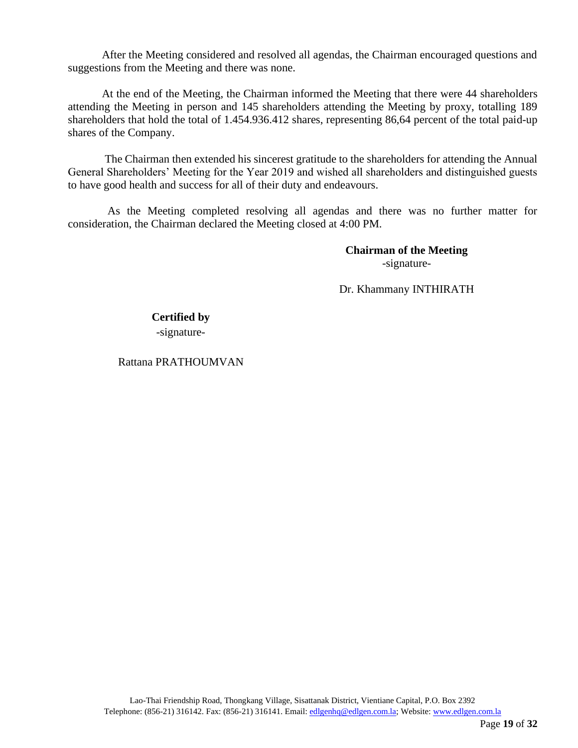After the Meeting considered and resolved all agendas, the Chairman encouraged questions and suggestions from the Meeting and there was none.

At the end of the Meeting, the Chairman informed the Meeting that there were 44 shareholders attending the Meeting in person and 145 shareholders attending the Meeting by proxy, totalling 189 shareholders that hold the total of 1.454.936.412 shares, representing 86,64 percent of the total paid-up shares of the Company.

 The Chairman then extended his sincerest gratitude to the shareholders for attending the Annual General Shareholders' Meeting for the Year 2019 and wished all shareholders and distinguished guests to have good health and success for all of their duty and endeavours.

 As the Meeting completed resolving all agendas and there was no further matter for consideration, the Chairman declared the Meeting closed at 4:00 PM.

> **Chairman of the Meeting** -signature-

Dr. Khammany INTHIRATH

# **Certified by** -signature-

Rattana PRATHOUMVAN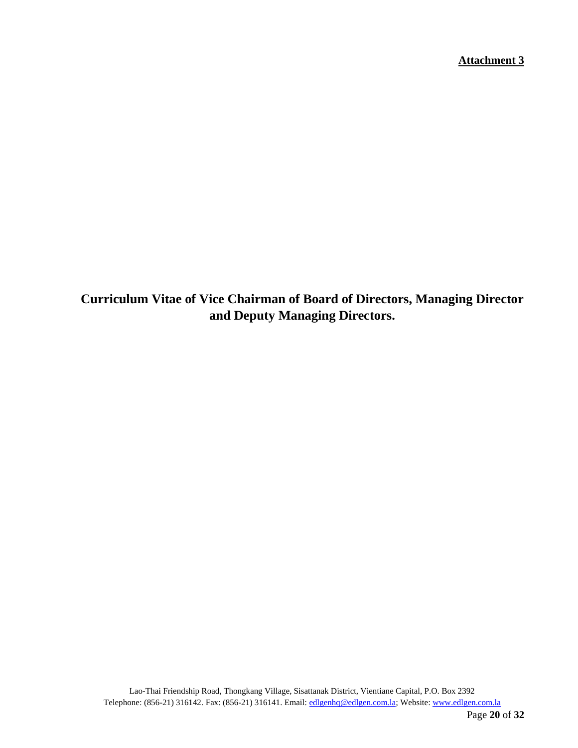**Attachment 3**

**Curriculum Vitae of Vice Chairman of Board of Directors, Managing Director and Deputy Managing Directors.**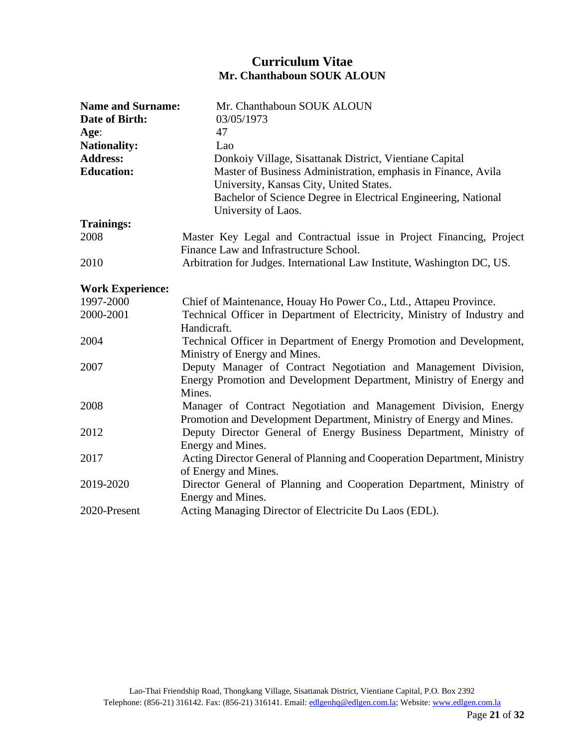# **Curriculum Vitae Mr. Chanthaboun SOUK ALOUN**

| <b>Name and Surname:</b> | Mr. Chanthaboun SOUK ALOUN                                               |
|--------------------------|--------------------------------------------------------------------------|
| Date of Birth:           | 03/05/1973                                                               |
| Age:                     | 47                                                                       |
| <b>Nationality:</b>      | Lao                                                                      |
| <b>Address:</b>          | Donkoiy Village, Sisattanak District, Vientiane Capital                  |
| <b>Education:</b>        | Master of Business Administration, emphasis in Finance, Avila            |
|                          | University, Kansas City, United States.                                  |
|                          | Bachelor of Science Degree in Electrical Engineering, National           |
|                          | University of Laos.                                                      |
| <b>Trainings:</b>        |                                                                          |
| 2008                     | Master Key Legal and Contractual issue in Project Financing, Project     |
|                          | Finance Law and Infrastructure School.                                   |
| 2010                     | Arbitration for Judges. International Law Institute, Washington DC, US.  |
| <b>Work Experience:</b>  |                                                                          |
| 1997-2000                | Chief of Maintenance, Houay Ho Power Co., Ltd., Attapeu Province.        |
| 2000-2001                | Technical Officer in Department of Electricity, Ministry of Industry and |
|                          | Handicraft.                                                              |
| 2004                     | Technical Officer in Department of Energy Promotion and Development,     |
|                          | Ministry of Energy and Mines.                                            |
| 2007                     | Deputy Manager of Contract Negotiation and Management Division,          |
|                          | Energy Promotion and Development Department, Ministry of Energy and      |
|                          | Mines.                                                                   |
| 2008                     | Manager of Contract Negotiation and Management Division, Energy          |
|                          | Promotion and Development Department, Ministry of Energy and Mines.      |
| 2012                     | Deputy Director General of Energy Business Department, Ministry of       |
|                          | Energy and Mines.                                                        |
| 2017                     | Acting Director General of Planning and Cooperation Department, Ministry |
|                          | of Energy and Mines.                                                     |
| 2019-2020                | Director General of Planning and Cooperation Department, Ministry of     |
|                          | Energy and Mines.                                                        |
| 2020-Present             | Acting Managing Director of Electricite Du Laos (EDL).                   |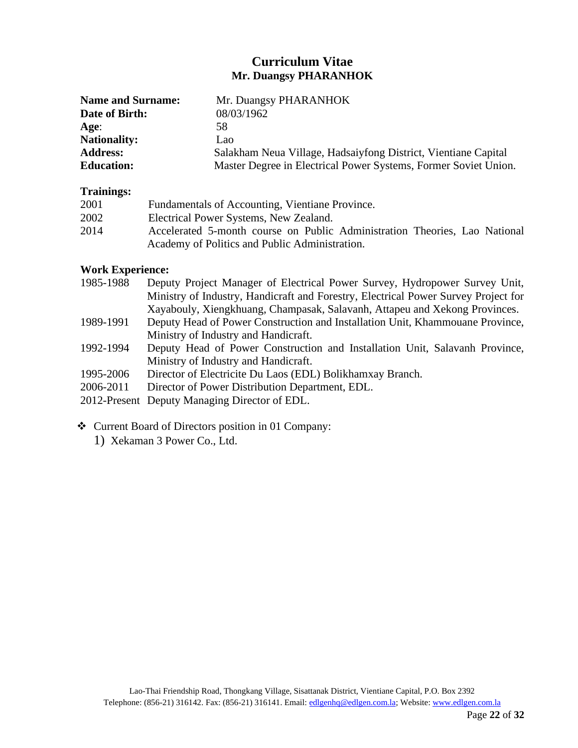# **Curriculum Vitae Mr. Duangsy PHARANHOK**

| <b>Name and Surname:</b> | Mr. Duangsy PHARANHOK                                           |
|--------------------------|-----------------------------------------------------------------|
| Date of Birth:           | 08/03/1962                                                      |
| Age:                     | 58                                                              |
| <b>Nationality:</b>      | Lao                                                             |
| <b>Address:</b>          | Salakham Neua Village, Hadsaiyfong District, Vientiane Capital  |
| <b>Education:</b>        | Master Degree in Electrical Power Systems, Former Soviet Union. |

#### **Trainings:**

| 2001 | Fundamentals of Accounting, Vientiane Province.                            |
|------|----------------------------------------------------------------------------|
| 2002 | Electrical Power Systems, New Zealand.                                     |
| 2014 | Accelerated 5-month course on Public Administration Theories, Lao National |
|      | Academy of Politics and Public Administration.                             |

#### **Work Experience:**

| 1985-1988 | Deputy Project Manager of Electrical Power Survey, Hydropower Survey Unit,         |
|-----------|------------------------------------------------------------------------------------|
|           | Ministry of Industry, Handicraft and Forestry, Electrical Power Survey Project for |
|           | Xayabouly, Xiengkhuang, Champasak, Salavanh, Attapeu and Xekong Provinces.         |
| 1989-1991 | Deputy Head of Power Construction and Installation Unit, Khammouane Province,      |
|           | Ministry of Industry and Handicraft.                                               |
| 1992-1994 | Deputy Head of Power Construction and Installation Unit, Salavanh Province,        |
|           | Ministry of Industry and Handicraft.                                               |
| 1995-2006 | Director of Electricite Du Laos (EDL) Bolikhamxay Branch.                          |
| 2006-2011 | Director of Power Distribution Department, EDL.                                    |
|           | 2012-Present Deputy Managing Director of EDL.                                      |
|           |                                                                                    |

- ❖ Current Board of Directors position in 01 Company:
	- 1) Xekaman 3 Power Co., Ltd.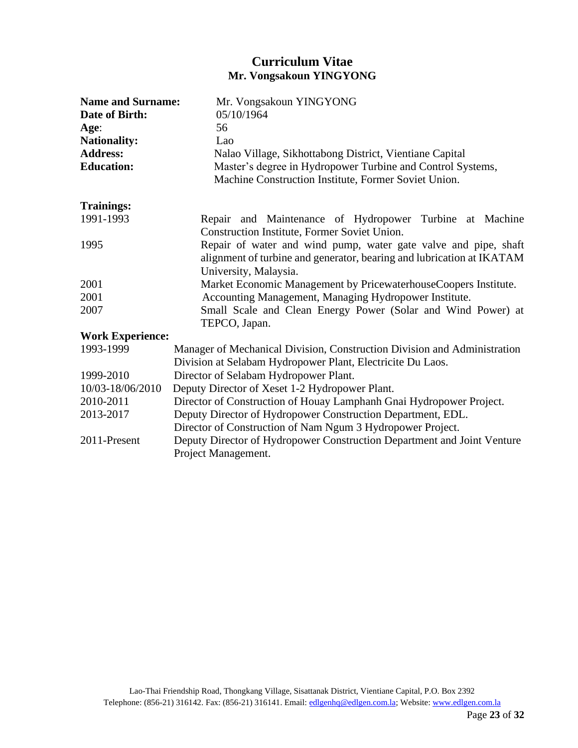# **Curriculum Vitae Mr. Vongsakoun YINGYONG**

| <b>Name and Surname:</b> | Mr. Vongsakoun YINGYONG                                                  |  |  |
|--------------------------|--------------------------------------------------------------------------|--|--|
| Date of Birth:           | 05/10/1964                                                               |  |  |
| Age:                     | 56                                                                       |  |  |
| <b>Nationality:</b>      | Lao                                                                      |  |  |
| <b>Address:</b>          | Nalao Village, Sikhottabong District, Vientiane Capital                  |  |  |
| <b>Education:</b>        | Master's degree in Hydropower Turbine and Control Systems,               |  |  |
|                          | Machine Construction Institute, Former Soviet Union.                     |  |  |
| <b>Trainings:</b>        |                                                                          |  |  |
| 1991-1993                | Repair and Maintenance of Hydropower Turbine at Machine                  |  |  |
|                          | Construction Institute, Former Soviet Union.                             |  |  |
| 1995                     | Repair of water and wind pump, water gate valve and pipe, shaft          |  |  |
|                          | alignment of turbine and generator, bearing and lubrication at IKATAM    |  |  |
|                          | University, Malaysia.                                                    |  |  |
| 2001                     | Market Economic Management by PricewaterhouseCoopers Institute.          |  |  |
| 2001                     | Accounting Management, Managing Hydropower Institute.                    |  |  |
| 2007                     | Small Scale and Clean Energy Power (Solar and Wind Power) at             |  |  |
|                          | TEPCO, Japan.                                                            |  |  |
| <b>Work Experience:</b>  |                                                                          |  |  |
| 1993-1999                | Manager of Mechanical Division, Construction Division and Administration |  |  |
|                          | Division at Selabam Hydropower Plant, Electricite Du Laos.               |  |  |
| 1999-2010                | Director of Selabam Hydropower Plant.                                    |  |  |
| 10/03-18/06/2010         | Deputy Director of Xeset 1-2 Hydropower Plant.                           |  |  |
| 2010-2011                | Director of Construction of Houay Lamphanh Gnai Hydropower Project.      |  |  |
| 2013-2017                | Deputy Director of Hydropower Construction Department, EDL.              |  |  |
|                          | Director of Construction of Nam Ngum 3 Hydropower Project.               |  |  |
| 2011-Present             | Deputy Director of Hydropower Construction Department and Joint Venture  |  |  |
|                          | Project Management.                                                      |  |  |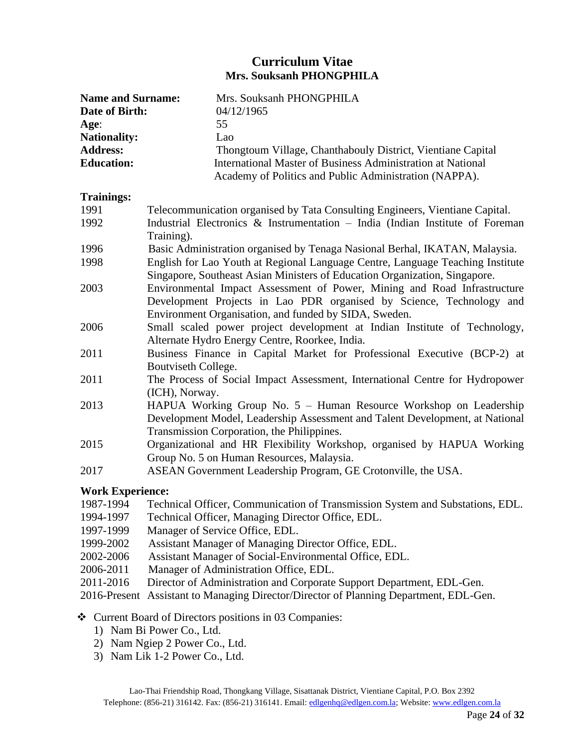# **Curriculum Vitae Mrs. Souksanh PHONGPHILA**

| <b>Name and Surname:</b> | Mrs. Souksanh PHONGPHILA                                                                                                                                                                                  |  |  |
|--------------------------|-----------------------------------------------------------------------------------------------------------------------------------------------------------------------------------------------------------|--|--|
| Date of Birth:           | 04/12/1965                                                                                                                                                                                                |  |  |
| Age:                     | 55                                                                                                                                                                                                        |  |  |
| <b>Nationality:</b>      | Lao                                                                                                                                                                                                       |  |  |
| <b>Address:</b>          | Thongtoum Village, Chanthabouly District, Vientiane Capital                                                                                                                                               |  |  |
| <b>Education:</b>        | <b>International Master of Business Administration at National</b><br>Academy of Politics and Public Administration (NAPPA).                                                                              |  |  |
| <b>Trainings:</b>        |                                                                                                                                                                                                           |  |  |
| 1991                     | Telecommunication organised by Tata Consulting Engineers, Vientiane Capital.                                                                                                                              |  |  |
| 1992                     | Industrial Electronics & Instrumentation $-$ India (Indian Institute of Foreman<br>Training).                                                                                                             |  |  |
| 1996                     | Basic Administration organised by Tenaga Nasional Berhal, IKATAN, Malaysia.                                                                                                                               |  |  |
| 1998                     | English for Lao Youth at Regional Language Centre, Language Teaching Institute<br>Singapore, Southeast Asian Ministers of Education Organization, Singapore.                                              |  |  |
| 2003                     | Environmental Impact Assessment of Power, Mining and Road Infrastructure<br>Development Projects in Lao PDR organised by Science, Technology and<br>Environment Organisation, and funded by SIDA, Sweden. |  |  |
| 2006                     | Small scaled power project development at Indian Institute of Technology,<br>Alternate Hydro Energy Centre, Roorkee, India.                                                                               |  |  |
| 2011                     | Business Finance in Capital Market for Professional Executive (BCP-2) at<br>Boutviseth College.                                                                                                           |  |  |
| 2011                     | The Process of Social Impact Assessment, International Centre for Hydropower<br>(ICH), Norway.                                                                                                            |  |  |
| 2013                     | HAPUA Working Group No. 5 - Human Resource Workshop on Leadership<br>Development Model, Leadership Assessment and Talent Development, at National<br>Transmission Corporation, the Philippines.           |  |  |
| 2015                     | Organizational and HR Flexibility Workshop, organised by HAPUA Working<br>Group No. 5 on Human Resources, Malaysia.                                                                                       |  |  |
| 2017                     | ASEAN Government Leadership Program, GE Crotonville, the USA.                                                                                                                                             |  |  |
|                          |                                                                                                                                                                                                           |  |  |

#### **Work Experience:**

| 1987-1994 | Technical Officer, Communication of Transmission System and Substations, EDL. |  |  |  |  |
|-----------|-------------------------------------------------------------------------------|--|--|--|--|
|-----------|-------------------------------------------------------------------------------|--|--|--|--|

- 1994-1997 Technical Officer, Managing Director Office, EDL.
- 1997-1999 Manager of Service Office, EDL.
- 1999-2002 Assistant Manager of Managing Director Office, EDL.
- 2002-2006 Assistant Manager of Social-Environmental Office, EDL.
- 2006-2011 Manager of Administration Office, EDL.
- 2011-2016 Director of Administration and Corporate Support Department, EDL-Gen.
- 2016-Present Assistant to Managing Director/Director of Planning Department, EDL-Gen.
- ❖ Current Board of Directors positions in 03 Companies:
	- 1) Nam Bi Power Co., Ltd.
	- 2) Nam Ngiep 2 Power Co., Ltd.
	- 3) Nam Lik 1-2 Power Co., Ltd.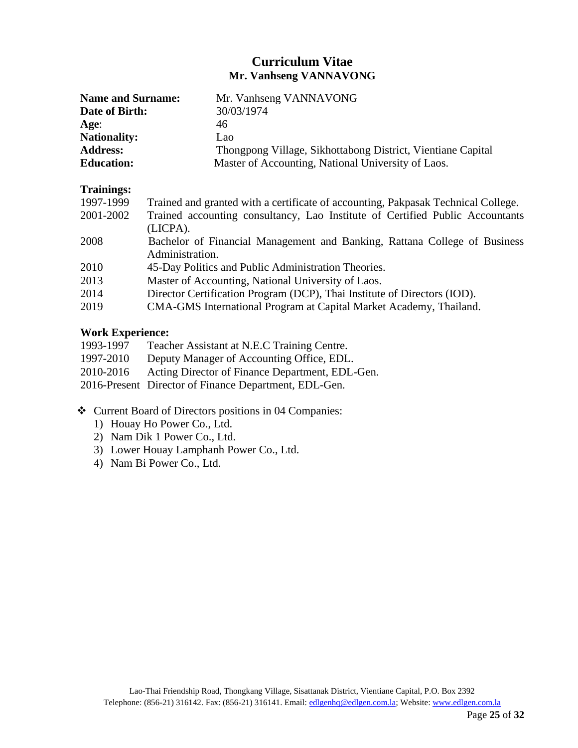# **Curriculum Vitae Mr. Vanhseng VANNAVONG**

| <b>Name and Surname:</b> | Mr. Vanhseng VANNAVONG                                      |
|--------------------------|-------------------------------------------------------------|
| Date of Birth:           | 30/03/1974                                                  |
| Age:                     | 46                                                          |
| <b>Nationality:</b>      | Lao                                                         |
| <b>Address:</b>          | Thongpong Village, Sikhottabong District, Vientiane Capital |
| <b>Education:</b>        | Master of Accounting, National University of Laos.          |

#### **Trainings:**

| Trained and granted with a certificate of accounting, Pakpasak Technical College. |
|-----------------------------------------------------------------------------------|
| Trained accounting consultancy, Lao Institute of Certified Public Accountants     |
| (LICPA).                                                                          |
| Bachelor of Financial Management and Banking, Rattana College of Business         |
| Administration.                                                                   |
| 45-Day Politics and Public Administration Theories.                               |
| Master of Accounting, National University of Laos.                                |
| Director Certification Program (DCP), Thai Institute of Directors (IOD).          |
| CMA-GMS International Program at Capital Market Academy, Thailand.                |
|                                                                                   |

#### **Work Experience:**

| Teacher Assistant at N.E.C Training Centre.           |
|-------------------------------------------------------|
| Deputy Manager of Accounting Office, EDL.             |
| Acting Director of Finance Department, EDL-Gen.       |
| 2016-Present Director of Finance Department, EDL-Gen. |
|                                                       |

- ❖ Current Board of Directors positions in 04 Companies:
	- 1) Houay Ho Power Co., Ltd.
	- 2) Nam Dik 1 Power Co., Ltd.
	- 3) Lower Houay Lamphanh Power Co., Ltd.
	- 4) Nam Bi Power Co., Ltd.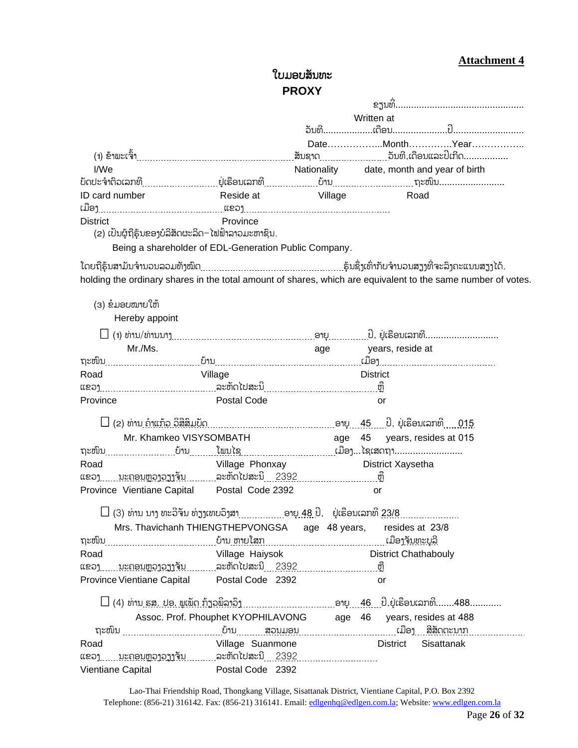# **Attachment 4**

# ໃບມອບສນັທະ **PROXY**

 $\overline{1}$ 

|                                                        |                                          | Written at      |                                                                                                              |
|--------------------------------------------------------|------------------------------------------|-----------------|--------------------------------------------------------------------------------------------------------------|
|                                                        |                                          |                 |                                                                                                              |
|                                                        |                                          |                 | DateMonthYear                                                                                                |
|                                                        |                                          |                 |                                                                                                              |
| I/We                                                   |                                          |                 | Nationality date, month and year of birth                                                                    |
|                                                        |                                          |                 |                                                                                                              |
| ID card number                                         | Reside at <b>Willage</b>                 |                 | Road                                                                                                         |
|                                                        |                                          |                 |                                                                                                              |
| <b>District</b>                                        | Province                                 |                 |                                                                                                              |
| (2) ເປັນຜູ້ຖືຮຸ້ນຂອງບໍລິສັດຜະລິດ–ໄຟຟ້າລາວມະຫາຊິນ.      |                                          |                 |                                                                                                              |
| Being a shareholder of EDL-Generation Public Company.  |                                          |                 |                                                                                                              |
|                                                        |                                          |                 | ົໂດຍຖືຮຸ້ນສາມັນຈຳນວນລວມທັງໝົດ……………………………………………….ຮຸ້ນຊຶ່ງເທົ່າກັບຈຳນວນສຽງທີ່ຈະລຶງຄະແນນສຽງໄດ້.                 |
|                                                        |                                          |                 | holding the ordinary shares in the total amount of shares, which are equivalent to the same number of votes. |
|                                                        |                                          |                 |                                                                                                              |
| (3) ຂໍມອບໝາຍໃຫ້                                        |                                          |                 |                                                                                                              |
| Hereby appoint                                         |                                          |                 |                                                                                                              |
|                                                        |                                          |                 |                                                                                                              |
| Mr./Ms.                                                |                                          |                 | age years, reside at                                                                                         |
|                                                        |                                          |                 |                                                                                                              |
| Road                                                   | Village                                  | <b>District</b> |                                                                                                              |
|                                                        |                                          |                 |                                                                                                              |
| Province                                               | Postal Code                              |                 | or                                                                                                           |
|                                                        |                                          |                 |                                                                                                              |
|                                                        |                                          |                 |                                                                                                              |
| Mr. Khamkeo VISYSOMBATH                                |                                          |                 | age 45 years, resides at 015                                                                                 |
|                                                        |                                          |                 |                                                                                                              |
| Road                                                   | Village Phonxay <b>District Xaysetha</b> |                 |                                                                                                              |
| ແຂວງ ນະຄອນຫຼວງວຽງຈັນ ……ລະຫັດໄປສະນີ 2392 …………………… ຫຼື   |                                          |                 |                                                                                                              |
| Province Vientiane Capital Postal Code 2392            |                                          |                 | or                                                                                                           |
|                                                        |                                          |                 |                                                                                                              |
|                                                        |                                          |                 |                                                                                                              |
| Mrs. Thavichanh THIENGTHEPVONGSA age 48 years,         |                                          |                 | resides at 23/8                                                                                              |
|                                                        |                                          |                 |                                                                                                              |
| Road                                                   | Village Haiysok                          |                 | <b>District Chathabouly</b>                                                                                  |
| ແຂວງ ນະຄອນຫຼວງວຽງຈັນ ………ລະຫັດໄປສະນີ 2392 ……………………… ຫຼື |                                          |                 |                                                                                                              |
| Province Vientiane Capital Postal Code 2392            |                                          |                 | or                                                                                                           |
|                                                        |                                          |                 |                                                                                                              |
|                                                        |                                          |                 | Assoc. Prof. Phouphet KYOPHILAVONG age 46 years, resides at 488                                              |
|                                                        |                                          |                 |                                                                                                              |
| Road                                                   | Village Suanmone                         |                 | District Sisattanak                                                                                          |
| ແຂວງ ນະຄອນຫຼວງວຽງຈັນ ລະຫັດໄປສະນີ 2392                  |                                          |                 |                                                                                                              |
| Vientiane Capital <b>Contact Postal Code</b> 2392      |                                          |                 |                                                                                                              |

Lao-Thai Friendship Road, Thongkang Village, Sisattanak District, Vientiane Capital, P.O. Box 2392 Telephone: (856-21) 316142. Fax: (856-21) 316141. Email[: edlgenhq@edlgen.com.la;](mailto:edlgenhq@edlgen.com.la) Website[: www.edlgen.com.la](http://www.edlgen.com.la/)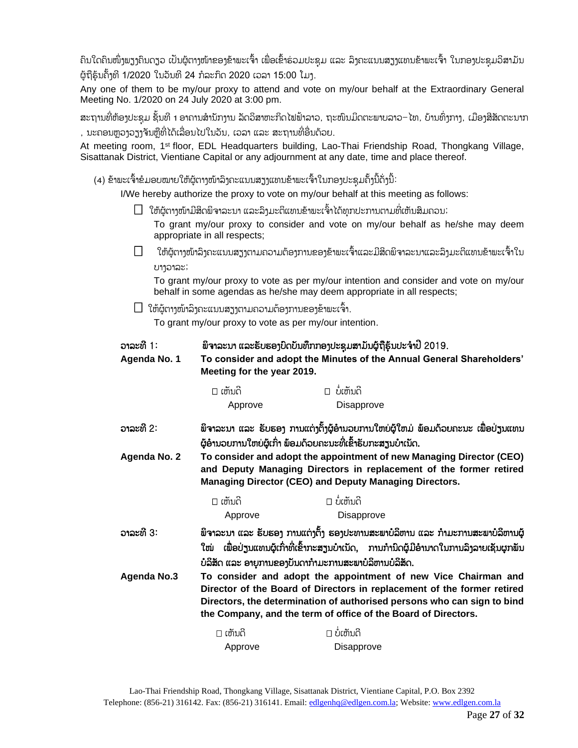ຄິນໃດຄິນໜຶ່ງພຽງຄິນດຽວ ເປັນຜູ້ຕາງໜ້າຂອງຂ້າພະເຈົ້າ ເພື່ອເຂົ້າຮ່ວມປະຊຸມ ແລະ ລິງຄະແນນສຽງແທນຂ້າພະເຈົ້າ ໃນກອງປະຊຸມວິສາມັນ ີ່ ຜູ້ຖືຮຸ້ນຄັ້ງທີ 1/2020 ໃນວັນທີ 24 ກໍລະກິດ 2020 ເວລາ 15:00 ໂມງ.

Any one of them to be my/our proxy to attend and vote on my/our behalf at the Extraordinary General Meeting No. 1/2020 on 24 July 2020 at 3:00 pm.

ສະຖານທີ່ຫ້ອງປະຊຸມ ຊັ້ນທີ 1 ອາຄານສຳນັກງານ ລັດວິສາຫະກິດໄຟຟ້າລາວ, ຖະໜົນມິດຕະພາບລາວ–ໄທ, ບ້ານທົ່ງກາງ, ເມືອງສີສັດຕະນາກ , ນະຄອນຫຼວງວຽງຈັນຫຼືທີ່ໄດ້ເລື່ອນໄປໃນວັນ, ເວລາ ແລະ ສະຖານທີ່ອື່ນດ້ວຍ.

At meeting room, 1<sup>st</sup> floor, EDL Headquarters building, Lao-Thai Friendship Road, Thongkang Village, Sisattanak District, Vientiane Capital or any adjournment at any date, time and place thereof.

(4) ຂ້າພະເຈົ້າຂໍມອບໜາຍໃຫ້ຜູ້ຕາງໜ້າລິງຄະແນນສຽງແທນຂ້າພະເຈົ້າໃນກອງປະຊຸມຄັ້ງນີ້ດັ່ງນີ້:

I/We hereby authorize the proxy to vote on my/our behalf at this meeting as follows:

 $\Box$  ໃຫ້ຜູ້ຕາງໜ້າມີສິດພິຈາລະນາ ແລະລິງມະຕິແທນຂ້າພະເຈົ້າໄດ້ທຸກປະການຕາມທີ່ເຫັນສິມຄວນ; ່າ

To grant my/our proxy to consider and vote on my/our behalf as he/she may deem appropriate in all respects;

 $\Box$  ໃຫ້ຜູ້ຕາງໜ້າລິງຄະແນນສຽງຕາມຄວາມຕ້ອງການຂອງຂ້າພະເຈົ້າແລະມີສິດພິຈາລະນາແລະລິງມະຕິແທນຂ້າພະເຈົ້າໃນ ບາງວາລະ;

To grant my/our proxy to vote as per my/our intention and consider and vote on my/our behalf in some agendas as he/she may deem appropriate in all respects;

 $\Box$  ໃຫ້ຜູ້ຕາງໜ້າລິງຄະແນນສຽງຕາມຄວາມຕ້ອງການຂອງຂ້າພະເຈົ້າ.

To grant my/our proxy to vote as per my/our intention.

| ວາລະທີ 1:<br>Agenda No. 1 | ພິຈາລະນາ ແລະຮັບຮອງບົດບັນທຶກກອງປະຊຸມສາມັນຜູ້ຖືຮຸ້ນປະຈຳປີ 2019.<br>To consider and adopt the Minutes of the Annual General Shareholders'<br>Meeting for the year 2019.                                                                                                                   |                                                                                                                                                |  |  |
|---------------------------|----------------------------------------------------------------------------------------------------------------------------------------------------------------------------------------------------------------------------------------------------------------------------------------|------------------------------------------------------------------------------------------------------------------------------------------------|--|--|
|                           | $\square$ ເຫັນດີ                                                                                                                                                                                                                                                                       | $\Box$ ບໍ່ເຫັນດີ                                                                                                                               |  |  |
|                           | Approve                                                                                                                                                                                                                                                                                | Disapprove                                                                                                                                     |  |  |
| ວາລະທີ 2:                 |                                                                                                                                                                                                                                                                                        | ພິຈາລະນາ ແລະ ຮັບຮອງ ການແຕ່ງຕັ້ງຜູ້ອຳນວຍການໃຫຍ່ຜູ້ໃຫມ່ ພ້ອມດ້ວຍຄະນະ ເພື່ອປ່ຽນແທນ<br>ຜູ້ອຳນວຍການໃຫຍ່ຜູ້ເກົ່າ ພ້ອມດ້ວຍຄະນະທີ່ເຂົ້າຮັບກະສຽນບຳເນັດ. |  |  |
| Agenda No. 2              | To consider and adopt the appointment of new Managing Director (CEO)<br>and Deputy Managing Directors in replacement of the former retired<br><b>Managing Director (CEO) and Deputy Managing Directors.</b>                                                                            |                                                                                                                                                |  |  |
|                           | $\square$ ເຫັນດີ                                                                                                                                                                                                                                                                       | $\sqcap$ ບໍ່ເຫັນດີ                                                                                                                             |  |  |
|                           | Approve                                                                                                                                                                                                                                                                                | Disapprove                                                                                                                                     |  |  |
| ວາລະທີ 3:                 | ພິຈາລະນາ ແລະ ຮັບຮອງ ການແຕ່ງຕັ້ງ ຮອງປະທານສະພາບໍລິຫານ ແລະ ກຳມະການສະພາບໍລິຫານຜູ້<br>ເພື່ອປ່ຽນແທນຜູ້ເກົ່າທີ່ເຂົ້າກະສຽນບໍາເນັດ, ການກໍານິດຜູ້ມີອໍານາດໃນການລິງລາຍເຊັນຜຸກພັນ<br>ໃໝ່<br>ບໍລິສັດ ແລະ ອາຍຸການຂອງບັນດາກຳມະການສະພາບໍລິຫານບໍລິສັດ.                                                   |                                                                                                                                                |  |  |
| <b>Agenda No.3</b>        | To consider and adopt the appointment of new Vice Chairman and<br>Director of the Board of Directors in replacement of the former retired<br>Directors, the determination of authorised persons who can sign to bind<br>the Company, and the term of office of the Board of Directors. |                                                                                                                                                |  |  |
|                           | $\square$ ເຫັນດີ                                                                                                                                                                                                                                                                       | $\square$ ບໍ່ເຫັນດີ                                                                                                                            |  |  |
|                           | Approve                                                                                                                                                                                                                                                                                | <b>Disapprove</b>                                                                                                                              |  |  |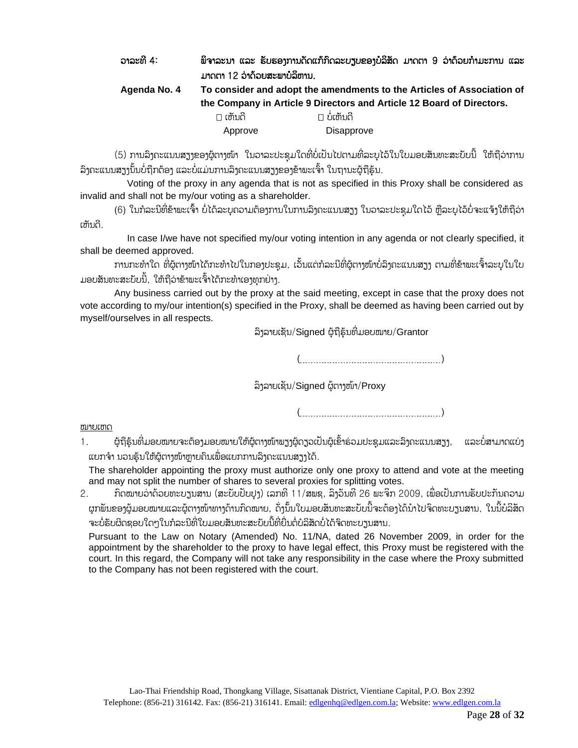| ວາລະທີ 4:    |                                                                        | ພິຈາລະນາ ແລະ ຮັບຮອງການດັດແກ້ກິດລະບຽບຂອງບໍລິສັດ ມາດຕາ 9 ວ່າດ້ວຍກຳມະການ ແລະ |  |
|--------------|------------------------------------------------------------------------|---------------------------------------------------------------------------|--|
|              | ມາດຕາ 12 ວ່າດ້ວຍສະພາບໍລິຫານ.                                           |                                                                           |  |
| Agenda No. 4 | To consider and adopt the amendments to the Articles of Association of |                                                                           |  |
|              |                                                                        | the Company in Article 9 Directors and Article 12 Board of Directors.     |  |
|              | $\square$ ເຫັນດີ                                                       | $\square$ ບໍ່ເຫັນດີ                                                       |  |
|              | Approve                                                                | Disapprove                                                                |  |

(5) ການລິງຄະແນນສຽງຂອງຜູ້ຕາງໜ້າ ໃນວາລະປະຊຸມໃດທີ່ບໍ່ເປັນໄປຕາມທີ່ລະບຸໄວ້ໃນໃບມອບສັນທະສະບັບນີ້ ໃຫ້ຖືວ່າການ ີ່ ໍລິງຄະແນນສຽງນັ້ນບໍ່ຖືກຕ້ອງ ແລະບໍ່ແມ່ນການລຶງຄະແນນສຽງຂອງຂ້າພະເຈົ້າ ໃນຖານະຜູ້ຖືຮຸ້ນ.

Voting of the proxy in any agenda that is not as specified in this Proxy shall be considered as invalid and shall not be my/our voting as a shareholder.

(6) ໃນກໍລະນີທີ່ຂ້າພະເຈົ້າ ບໍ່ໄດ້ລະບຸຄວາມຕ້ອງການໃນການລິງຄະແນນສຽງ ໃນວາລະປະຊຸມໃດໄວ້ ຫຼືລະບຸໄວ້ບໍ່ຈະແຈ້ງໃຫ້ຖືວ່າ ເຫນັດ.

In case I/we have not specified my/our voting intention in any agenda or not clearly specified, it shall be deemed approved.

ການກະທຳໃດ ທີ່ຜູ້ຕາງໜ້າໄດ້ກະທຳໄປໃນກອງປະຊຸມ, ເວັ້ນແຕ່ກໍລະນີທີ່ຜູ້ຕາງໜ້າບໍ່ລິງຄະແນນສຽງ ຕາມທີ່ຂ້າພະເຈົ້າລະບຸໃນໃບ ມອບສັນທະສະບັບນີ້, ໃຫ້ຖືວ່າຂ້າພະເຈົ້າໄດ້ກະທຳເອງທຸກຢ່າງ.

Any business carried out by the proxy at the said meeting, except in case that the proxy does not vote according to my/our intention(s) specified in the Proxy, shall be deemed as having been carried out by myself/ourselves in all respects.

ລິງລາຍເຊັນ/Signed ຜູ້ຖືຮຸ້ນທີ່ມອບໝາຍ/Grantor

( )

ລິງລາຍເຊັນ/Signed ຜູ້ຕາງໜ້າ/Proxy

( )

ໝາຍເຫດ

1. ຜູ້ຖືຮຸ້ນທີ່ມອບໝາຍຈະຕ້ອງມອບໝາຍໃຫ້ຜູ້ຕາງໜ້າພຽງຜູ້ດຽວເປັນຜູ້ເຂົ້າຮ່ວມປະຊຸມແລະລິງຄະແນນສຽງ, ແລະບໍ່ສາມາດແບ່ງ ແຍກຈຳ ນວນຮຸ້ນໃຫ້ຜູ້ຕາງໜ້າຫຼາຍຄົນເພື່ອແຍກການລຶງຄະແນນສຽງໄດ້.

The shareholder appointing the proxy must authorize only one proxy to attend and vote at the meeting and may not split the number of shares to several proxies for splitting votes.

2. ກິດໝາຍວ່າດ້ວຍທະບຽນສານ (ສະບັບປັບປຸງ) ເລກທີ 11/ສພຊ, ລຶງວັນທີ 26 ພະຈິກ 2009, ເພື່ອເປັນການຮັບປະກັນຄວາມ ຜູກພັນຂອງຜູ້ມອບໝາຍແລະຜູ້ຕາງໜ້າທາງດ້ານກົດໝາຍ, ດັ່ງນັ້ນໃບມອບສັນທະສະບັບນີ້ຈະຕ້ອງໄດ້ນຳໄປຈິດທະບຽນສານ, ໃນນີ້ບໍລິສັດ ຈະບໍ່ຮັບຜິດຊອບໃດໆໃນກໍລະນີທີ່ໃບມອບສັນທະສະບັບນີ້ທີ່ຍື່ນຕໍ່ບໍລິສັດບໍ່ໄດ້ຈິດທະບຽນສານ.

Pursuant to the Law on Notary (Amended) No. 11/NA, dated 26 November 2009, in order for the appointment by the shareholder to the proxy to have legal effect, this Proxy must be registered with the court. In this regard, the Company will not take any responsibility in the case where the Proxy submitted to the Company has not been registered with the court.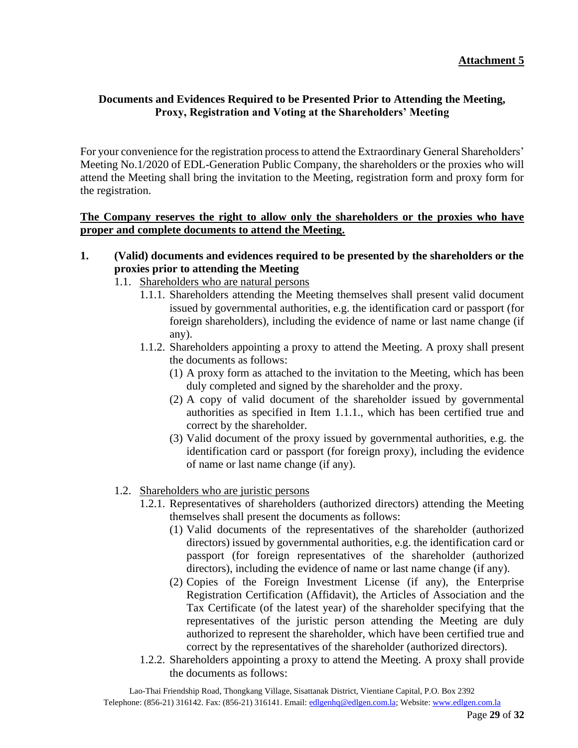#### **Documents and Evidences Required to be Presented Prior to Attending the Meeting, Proxy, Registration and Voting at the Shareholders' Meeting**

For your convenience for the registration process to attend the Extraordinary General Shareholders' Meeting No.1/2020 of EDL-Generation Public Company, the shareholders or the proxies who will attend the Meeting shall bring the invitation to the Meeting, registration form and proxy form for the registration.

#### **The Company reserves the right to allow only the shareholders or the proxies who have proper and complete documents to attend the Meeting.**

#### **1. (Valid) documents and evidences required to be presented by the shareholders or the proxies prior to attending the Meeting**

- 1.1. Shareholders who are natural persons
	- 1.1.1. Shareholders attending the Meeting themselves shall present valid document issued by governmental authorities, e.g. the identification card or passport (for foreign shareholders), including the evidence of name or last name change (if any).
	- 1.1.2. Shareholders appointing a proxy to attend the Meeting. A proxy shall present the documents as follows:
		- (1) A proxy form as attached to the invitation to the Meeting, which has been duly completed and signed by the shareholder and the proxy.
		- (2) A copy of valid document of the shareholder issued by governmental authorities as specified in Item 1.1.1., which has been certified true and correct by the shareholder.
		- (3) Valid document of the proxy issued by governmental authorities, e.g. the identification card or passport (for foreign proxy), including the evidence of name or last name change (if any).

#### 1.2. Shareholders who are juristic persons

- 1.2.1. Representatives of shareholders (authorized directors) attending the Meeting themselves shall present the documents as follows:
	- (1) Valid documents of the representatives of the shareholder (authorized directors) issued by governmental authorities, e.g. the identification card or passport (for foreign representatives of the shareholder (authorized directors), including the evidence of name or last name change (if any).
	- (2) Copies of the Foreign Investment License (if any), the Enterprise Registration Certification (Affidavit), the Articles of Association and the Tax Certificate (of the latest year) of the shareholder specifying that the representatives of the juristic person attending the Meeting are duly authorized to represent the shareholder, which have been certified true and correct by the representatives of the shareholder (authorized directors).
- 1.2.2. Shareholders appointing a proxy to attend the Meeting. A proxy shall provide the documents as follows: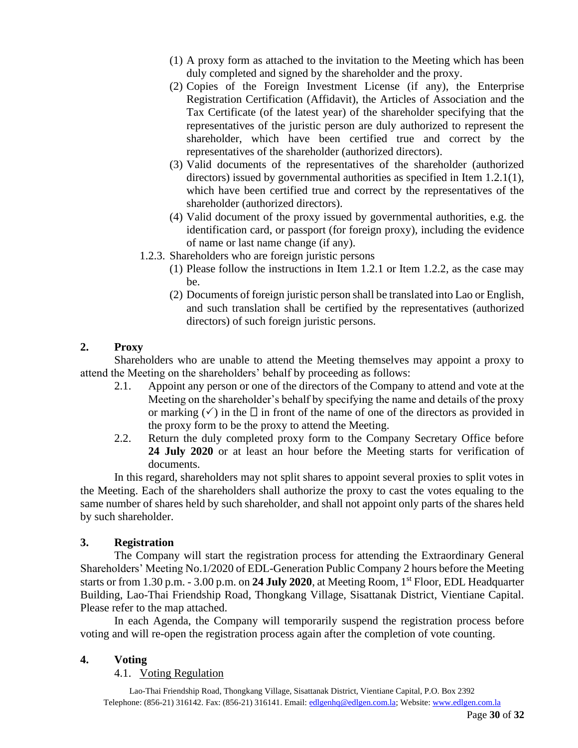- (1) A proxy form as attached to the invitation to the Meeting which has been duly completed and signed by the shareholder and the proxy.
- (2) Copies of the Foreign Investment License (if any), the Enterprise Registration Certification (Affidavit), the Articles of Association and the Tax Certificate (of the latest year) of the shareholder specifying that the representatives of the juristic person are duly authorized to represent the shareholder, which have been certified true and correct by the representatives of the shareholder (authorized directors).
- (3) Valid documents of the representatives of the shareholder (authorized directors) issued by governmental authorities as specified in Item 1.2.1(1), which have been certified true and correct by the representatives of the shareholder (authorized directors).
- (4) Valid document of the proxy issued by governmental authorities, e.g. the identification card, or passport (for foreign proxy), including the evidence of name or last name change (if any).
- 1.2.3. Shareholders who are foreign juristic persons
	- (1) Please follow the instructions in Item 1.2.1 or Item 1.2.2, as the case may be.
	- (2) Documents of foreign juristic person shall be translated into Lao or English, and such translation shall be certified by the representatives (authorized directors) of such foreign juristic persons.

#### **2. Proxy**

Shareholders who are unable to attend the Meeting themselves may appoint a proxy to attend the Meeting on the shareholders' behalf by proceeding as follows:

- 2.1. Appoint any person or one of the directors of the Company to attend and vote at the Meeting on the shareholder's behalf by specifying the name and details of the proxy or marking  $(\checkmark)$  in the  $\Box$  in front of the name of one of the directors as provided in the proxy form to be the proxy to attend the Meeting.
- 2.2. Return the duly completed proxy form to the Company Secretary Office before **24 July 2020** or at least an hour before the Meeting starts for verification of documents.

In this regard, shareholders may not split shares to appoint several proxies to split votes in the Meeting. Each of the shareholders shall authorize the proxy to cast the votes equaling to the same number of shares held by such shareholder, and shall not appoint only parts of the shares held by such shareholder.

#### **3. Registration**

The Company will start the registration process for attending the Extraordinary General Shareholders' Meeting No.1/2020 of EDL-Generation Public Company 2 hours before the Meeting starts or from 1.30 p.m. - 3.00 p.m. on **24 July 2020**, at Meeting Room, 1st Floor, EDL Headquarter Building, Lao-Thai Friendship Road, Thongkang Village, Sisattanak District, Vientiane Capital. Please refer to the map attached.

In each Agenda, the Company will temporarily suspend the registration process before voting and will re-open the registration process again after the completion of vote counting.

#### **4. Voting**

4.1. Voting Regulation

Lao-Thai Friendship Road, Thongkang Village, Sisattanak District, Vientiane Capital, P.O. Box 2392 Telephone: (856-21) 316142. Fax: (856-21) 316141. Email[: edlgenhq@edlgen.com.la;](mailto:edlgenhq@edlgen.com.la) Website[: www.edlgen.com.la](http://www.edlgen.com.la/)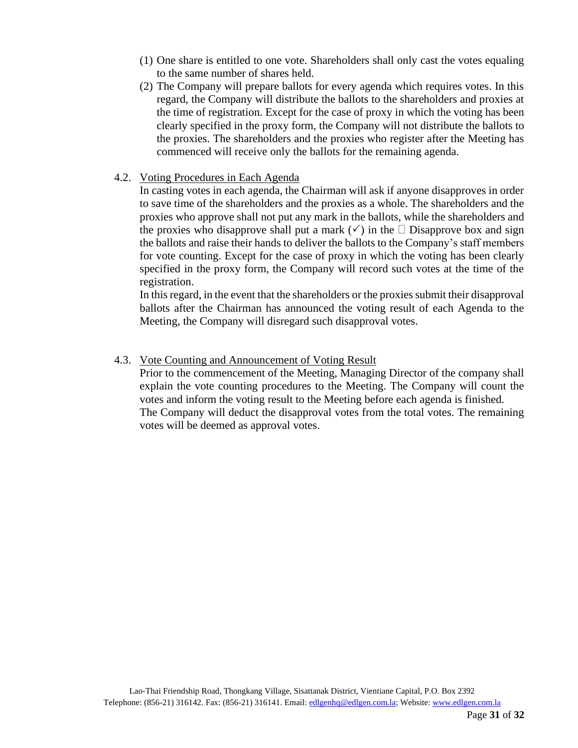- (1) One share is entitled to one vote. Shareholders shall only cast the votes equaling to the same number of shares held.
- (2) The Company will prepare ballots for every agenda which requires votes. In this regard, the Company will distribute the ballots to the shareholders and proxies at the time of registration. Except for the case of proxy in which the voting has been clearly specified in the proxy form, the Company will not distribute the ballots to the proxies. The shareholders and the proxies who register after the Meeting has commenced will receive only the ballots for the remaining agenda.
- 4.2. Voting Procedures in Each Agenda

In casting votes in each agenda, the Chairman will ask if anyone disapproves in order to save time of the shareholders and the proxies as a whole. The shareholders and the proxies who approve shall not put any mark in the ballots, while the shareholders and the proxies who disapprove shall put a mark  $(\checkmark)$  in the  $\Box$  Disapprove box and sign the ballots and raise their hands to deliver the ballots to the Company's staff members for vote counting. Except for the case of proxy in which the voting has been clearly specified in the proxy form, the Company will record such votes at the time of the registration.

In this regard, in the event that the shareholders or the proxies submit their disapproval ballots after the Chairman has announced the voting result of each Agenda to the Meeting, the Company will disregard such disapproval votes.

#### 4.3. Vote Counting and Announcement of Voting Result

Prior to the commencement of the Meeting, Managing Director of the company shall explain the vote counting procedures to the Meeting. The Company will count the votes and inform the voting result to the Meeting before each agenda is finished. The Company will deduct the disapproval votes from the total votes. The remaining votes will be deemed as approval votes.